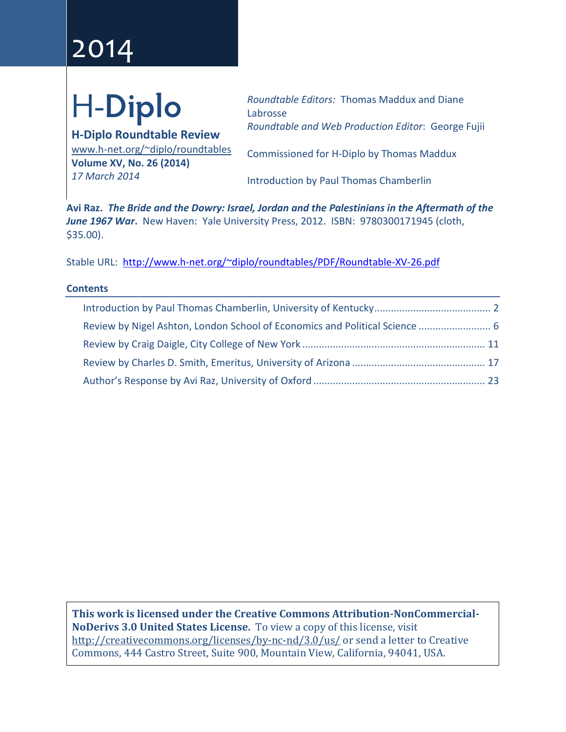# 2014

# H-**Diplo**

**H-Diplo Roundtable Review** [www.h-net.org/~diplo/roundtables](http://www.h-net.org/%7Ediplo/roundtables) **Volume XV, No. 26 (2014)** *17 March 2014*

*Roundtable Editors:* Thomas Maddux and Diane Labrosse *Roundtable and Web Production Editor*: George Fujii

Commissioned for H-Diplo by Thomas Maddux

Introduction by Paul Thomas Chamberlin

**Avi Raz.** *The Bride and the Dowry: Israel, Jordan and the Palestinians in the Aftermath of the June 1967 War***.** New Haven: Yale University Press, 2012. ISBN: 9780300171945 (cloth, \$35.00).

Stable URL: [http://www.h-net.org/~diplo/roundtables/PDF/Roundtable-XV-26.pdf](http://www.h-net.org/%7Ediplo/roundtables/PDF/Roundtable-XV-26.pdf)

# **Contents**

| Review by Nigel Ashton, London School of Economics and Political Science  6 |  |
|-----------------------------------------------------------------------------|--|
|                                                                             |  |
|                                                                             |  |
|                                                                             |  |

**This work is licensed under the Creative Commons Attribution-NonCommercial-NoDerivs 3.0 United States License.** To view a copy of this license, visit <http://creativecommons.org/licenses/by-nc-nd/3.0/us/> or send a letter to Creative Commons, 444 Castro Street, Suite 900, Mountain View, California, 94041, USA.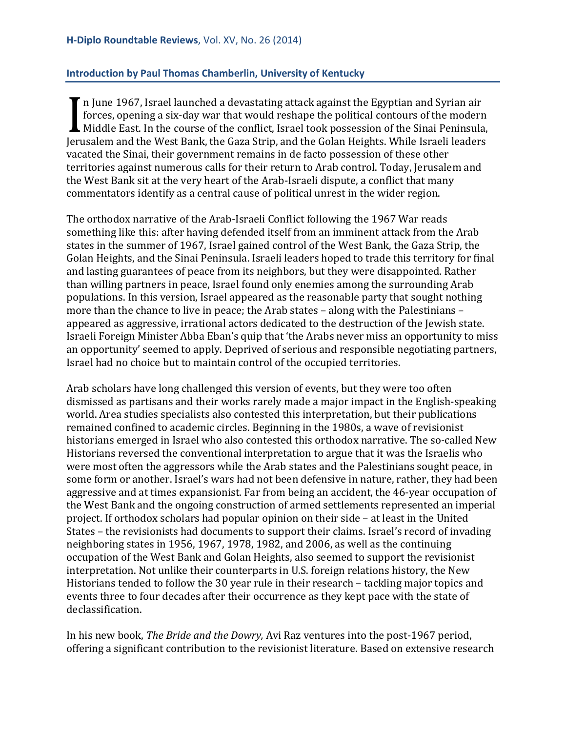# <span id="page-1-0"></span>**Introduction by Paul Thomas Chamberlin, University of Kentucky**

 $\blacksquare$  n June 1967, Israel launched a devastating attack against the Egyptian and Syrian air forces, opening a six-day war that would reshape the political contours of the modern  $\blacktriangle$  Middle East. In the course of the conflict, Israel took possession of the Sinai Peninsula, If Julie 1907, islaer launched a devastating attack against the Egyptian and Syrian and<br>forces, opening a six-day war that would reshape the political contours of the modern<br>Middle East. In the course of the conflict, Isra vacated the Sinai, their government remains in de facto possession of these other territories against numerous calls for their return to Arab control. Today, Jerusalem and the West Bank sit at the very heart of the Arab-Israeli dispute, a conflict that many commentators identify as a central cause of political unrest in the wider region.

The orthodox narrative of the Arab-Israeli Conflict following the 1967 War reads something like this: after having defended itself from an imminent attack from the Arab states in the summer of 1967, Israel gained control of the West Bank, the Gaza Strip, the Golan Heights, and the Sinai Peninsula. Israeli leaders hoped to trade this territory for final and lasting guarantees of peace from its neighbors, but they were disappointed. Rather than willing partners in peace, Israel found only enemies among the surrounding Arab populations. In this version, Israel appeared as the reasonable party that sought nothing more than the chance to live in peace; the Arab states – along with the Palestinians – appeared as aggressive, irrational actors dedicated to the destruction of the Jewish state. Israeli Foreign Minister Abba Eban's quip that 'the Arabs never miss an opportunity to miss an opportunity' seemed to apply. Deprived of serious and responsible negotiating partners, Israel had no choice but to maintain control of the occupied territories.

Arab scholars have long challenged this version of events, but they were too often dismissed as partisans and their works rarely made a major impact in the English-speaking world. Area studies specialists also contested this interpretation, but their publications remained confined to academic circles. Beginning in the 1980s, a wave of revisionist historians emerged in Israel who also contested this orthodox narrative. The so-called New Historians reversed the conventional interpretation to argue that it was the Israelis who were most often the aggressors while the Arab states and the Palestinians sought peace, in some form or another. Israel's wars had not been defensive in nature, rather, they had been aggressive and at times expansionist. Far from being an accident, the 46-year occupation of the West Bank and the ongoing construction of armed settlements represented an imperial project. If orthodox scholars had popular opinion on their side – at least in the United States – the revisionists had documents to support their claims. Israel's record of invading neighboring states in 1956, 1967, 1978, 1982, and 2006, as well as the continuing occupation of the West Bank and Golan Heights, also seemed to support the revisionist interpretation. Not unlike their counterparts in U.S. foreign relations history, the New Historians tended to follow the 30 year rule in their research – tackling major topics and events three to four decades after their occurrence as they kept pace with the state of declassification.

In his new book, *The Bride and the Dowry,* Avi Raz ventures into the post-1967 period, offering a significant contribution to the revisionist literature. Based on extensive research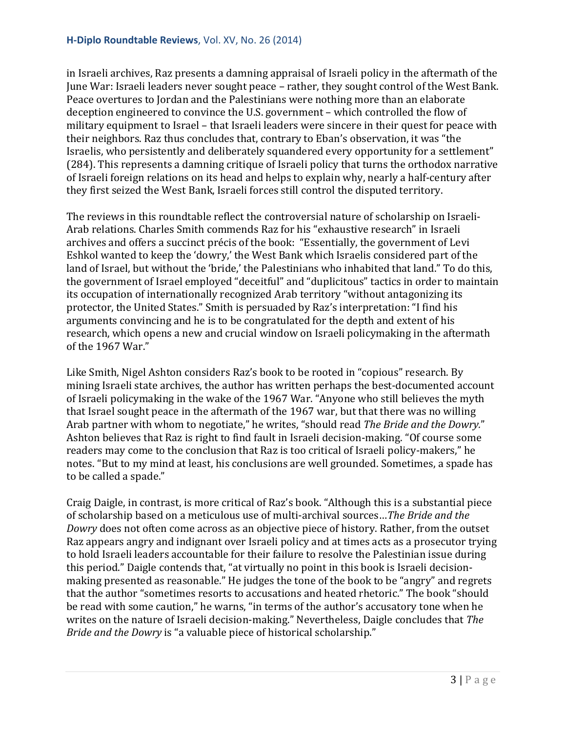in Israeli archives, Raz presents a damning appraisal of Israeli policy in the aftermath of the June War: Israeli leaders never sought peace – rather, they sought control of the West Bank. Peace overtures to Jordan and the Palestinians were nothing more than an elaborate deception engineered to convince the U.S. government – which controlled the flow of military equipment to Israel – that Israeli leaders were sincere in their quest for peace with their neighbors. Raz thus concludes that, contrary to Eban's observation, it was "the Israelis, who persistently and deliberately squandered every opportunity for a settlement" (284). This represents a damning critique of Israeli policy that turns the orthodox narrative of Israeli foreign relations on its head and helps to explain why, nearly a half-century after they first seized the West Bank, Israeli forces still control the disputed territory.

The reviews in this roundtable reflect the controversial nature of scholarship on Israeli-Arab relations. Charles Smith commends Raz for his "exhaustive research" in Israeli archives and offers a succinct précis of the book: "Essentially, the government of Levi Eshkol wanted to keep the 'dowry,' the West Bank which Israelis considered part of the land of Israel, but without the 'bride,' the Palestinians who inhabited that land." To do this, the government of Israel employed "deceitful" and "duplicitous" tactics in order to maintain its occupation of internationally recognized Arab territory "without antagonizing its protector, the United States." Smith is persuaded by Raz's interpretation: "I find his arguments convincing and he is to be congratulated for the depth and extent of his research, which opens a new and crucial window on Israeli policymaking in the aftermath of the 1967 War."

Like Smith, Nigel Ashton considers Raz's book to be rooted in "copious" research. By mining Israeli state archives, the author has written perhaps the best-documented account of Israeli policymaking in the wake of the 1967 War. "Anyone who still believes the myth that Israel sought peace in the aftermath of the 1967 war, but that there was no willing Arab partner with whom to negotiate," he writes, "should read *The Bride and the Dowry.*" Ashton believes that Raz is right to find fault in Israeli decision-making. "Of course some readers may come to the conclusion that Raz is too critical of Israeli policy-makers," he notes. "But to my mind at least, his conclusions are well grounded. Sometimes, a spade has to be called a spade."

Craig Daigle, in contrast, is more critical of Raz's book. "Although this is a substantial piece of scholarship based on a meticulous use of multi-archival sources…*The Bride and the Dowry* does not often come across as an objective piece of history. Rather, from the outset Raz appears angry and indignant over Israeli policy and at times acts as a prosecutor trying to hold Israeli leaders accountable for their failure to resolve the Palestinian issue during this period." Daigle contends that, "at virtually no point in this book is Israeli decisionmaking presented as reasonable." He judges the tone of the book to be "angry" and regrets that the author "sometimes resorts to accusations and heated rhetoric." The book "should be read with some caution," he warns, "in terms of the author's accusatory tone when he writes on the nature of Israeli decision-making." Nevertheless, Daigle concludes that *The Bride and the Dowry* is "a valuable piece of historical scholarship."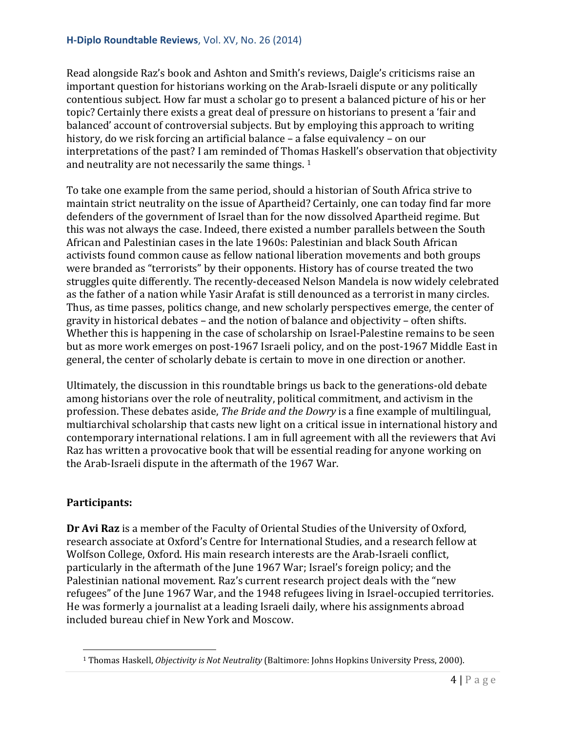Read alongside Raz's book and Ashton and Smith's reviews, Daigle's criticisms raise an important question for historians working on the Arab-Israeli dispute or any politically contentious subject. How far must a scholar go to present a balanced picture of his or her topic? Certainly there exists a great deal of pressure on historians to present a 'fair and balanced' account of controversial subjects. But by employing this approach to writing history, do we risk forcing an artificial balance – a false equivalency – on our interpretations of the past? I am reminded of Thomas Haskell's observation that objectivity and neutrality are not necessarily the same things. <sup>[1](#page-3-0)</sup>

To take one example from the same period, should a historian of South Africa strive to maintain strict neutrality on the issue of Apartheid? Certainly, one can today find far more defenders of the government of Israel than for the now dissolved Apartheid regime. But this was not always the case. Indeed, there existed a number parallels between the South African and Palestinian cases in the late 1960s: Palestinian and black South African activists found common cause as fellow national liberation movements and both groups were branded as "terrorists" by their opponents. History has of course treated the two struggles quite differently. The recently-deceased Nelson Mandela is now widely celebrated as the father of a nation while Yasir Arafat is still denounced as a terrorist in many circles. Thus, as time passes, politics change, and new scholarly perspectives emerge, the center of gravity in historical debates – and the notion of balance and objectivity – often shifts. Whether this is happening in the case of scholarship on Israel-Palestine remains to be seen but as more work emerges on post-1967 Israeli policy, and on the post-1967 Middle East in general, the center of scholarly debate is certain to move in one direction or another.

Ultimately, the discussion in this roundtable brings us back to the generations-old debate among historians over the role of neutrality, political commitment, and activism in the profession. These debates aside, *The Bride and the Dowry* is a fine example of multilingual, multiarchival scholarship that casts new light on a critical issue in international history and contemporary international relations. I am in full agreement with all the reviewers that Avi Raz has written a provocative book that will be essential reading for anyone working on the Arab-Israeli dispute in the aftermath of the 1967 War.

# **Participants:**

**Dr Avi Raz** is a member of the Faculty of Oriental Studies of the University of Oxford, research associate at Oxford's Centre for International Studies, and a research fellow at Wolfson College, Oxford. His main research interests are the Arab-Israeli conflict, particularly in the aftermath of the June 1967 War; Israel's foreign policy; and the Palestinian national movement. Raz's current research project deals with the "new refugees" of the June 1967 War, and the 1948 refugees living in Israel-occupied territories. He was formerly a journalist at a leading Israeli daily, where his assignments abroad included bureau chief in New York and Moscow.

<span id="page-3-0"></span><sup>1</sup> Thomas Haskell, *Objectivity is Not Neutrality* (Baltimore: Johns Hopkins University Press, 2000). i<br>I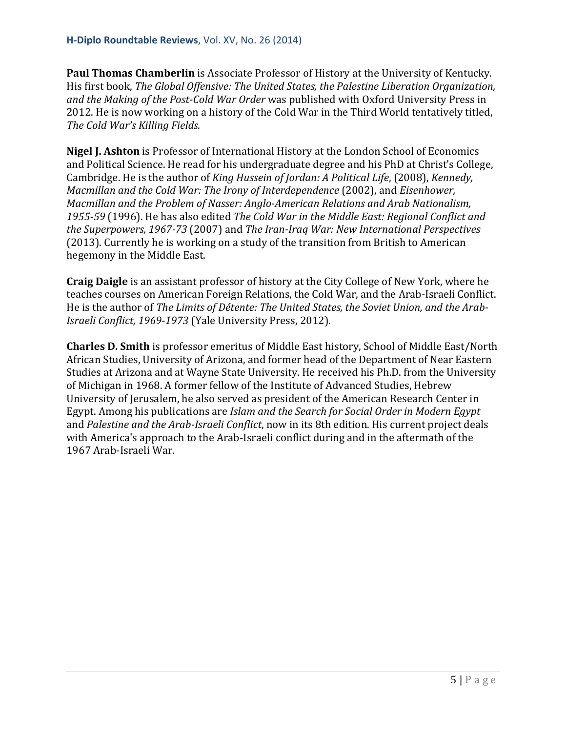**Paul Thomas Chamberlin** is Associate Professor of History at the University of Kentucky. His first book, *The Global Offensive: The United States, the Palestine Liberation Organization, and the Making of the Post-Cold War Order* was published with Oxford University Press in 2012. He is now working on a history of the Cold War in the Third World tentatively titled, *The Cold War's Killing Fields.*

**Nigel J. Ashton** is Professor of International History at the London School of Economics and Political Science. He read for his undergraduate degree and his PhD at Christ's College, Cambridge. He is the author of *King Hussein of Jordan: A Political Life*, (2008), *Kennedy, Macmillan and the Cold War: The Irony of Interdependence* (2002), and *Eisenhower, Macmillan and the Problem of Nasser: Anglo-American Relations and Arab Nationalism, 1955-59* (1996). He has also edited *The Cold War in the Middle East: Regional Conflict and the Superpowers, 1967-73* (2007) and *The Iran-Iraq War: New International Perspectives* (2013). Currently he is working on a study of the transition from British to American hegemony in the Middle East.

**Craig Daigle** is an assistant professor of history at the City College of New York, where he teaches courses on American Foreign Relations, the Cold War, and the Arab-Israeli Conflict. He is the author of *The Limits of Détente: The United States, the Soviet Union, and the Arab-Israeli Conflict, 1969-1973* (Yale University Press, 2012).

**Charles D. Smith** is professor emeritus of Middle East history, School of Middle East/North African Studies, University of Arizona, and former head of the Department of Near Eastern Studies at Arizona and at Wayne State University. He received his Ph.D. from the University of Michigan in 1968. A former fellow of the Institute of Advanced Studies, Hebrew University of Jerusalem, he also served as president of the American Research Center in Egypt. Among his publications are *Islam and the Search for Social Order in Modern Egypt* and *Palestine and the Arab-Israeli Conflict*, now in its 8th edition. His current project deals with America's approach to the Arab-Israeli conflict during and in the aftermath of the 1967 Arab-Israeli War.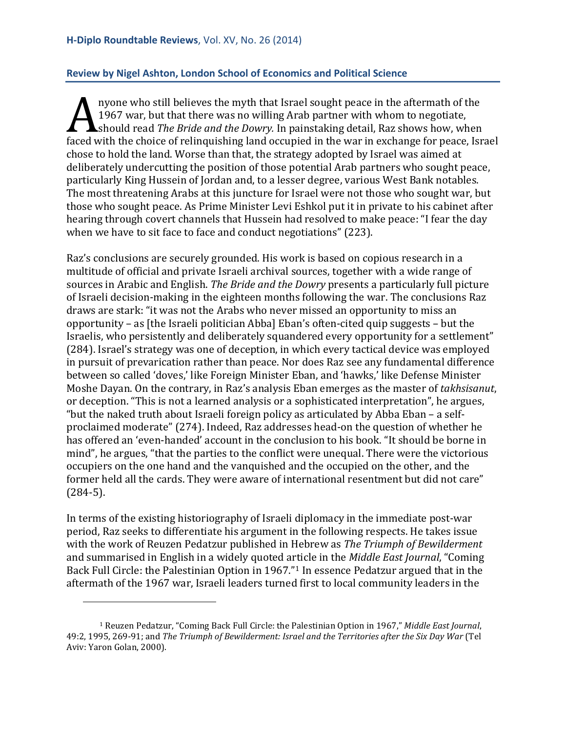# <span id="page-5-0"></span>**Review by Nigel Ashton, London School of Economics and Political Science**

nyone who still believes the myth that Israel sought peace in the aftermath of the 1967 war, but that there was no willing Arab partner with whom to negotiate, should read *The Bride and the Dowry.* In painstaking detail, Raz shows how, when figure who still believes the hight that israel sought peace in the arter inath of the<br>1967 war, but that there was no willing Arab partner with whom to negotiate,<br>faced with the choice of relinquishing land occupied in th chose to hold the land. Worse than that, the strategy adopted by Israel was aimed at deliberately undercutting the position of those potential Arab partners who sought peace, particularly King Hussein of Jordan and, to a lesser degree, various West Bank notables. The most threatening Arabs at this juncture for Israel were not those who sought war, but those who sought peace. As Prime Minister Levi Eshkol put it in private to his cabinet after hearing through covert channels that Hussein had resolved to make peace: "I fear the day when we have to sit face to face and conduct negotiations" (223).

Raz's conclusions are securely grounded. His work is based on copious research in a multitude of official and private Israeli archival sources, together with a wide range of sources in Arabic and English. *The Bride and the Dowry* presents a particularly full picture of Israeli decision-making in the eighteen months following the war. The conclusions Raz draws are stark: "it was not the Arabs who never missed an opportunity to miss an opportunity – as [the Israeli politician Abba] Eban's often-cited quip suggests – but the Israelis, who persistently and deliberately squandered every opportunity for a settlement" (284). Israel's strategy was one of deception, in which every tactical device was employed in pursuit of prevarication rather than peace. Nor does Raz see any fundamental difference between so called 'doves,' like Foreign Minister Eban, and 'hawks,' like Defense Minister Moshe Dayan. On the contrary, in Raz's analysis Eban emerges as the master of *takhsisanut*, or deception. "This is not a learned analysis or a sophisticated interpretation", he argues, "but the naked truth about Israeli foreign policy as articulated by Abba Eban – a selfproclaimed moderate" (274). Indeed, Raz addresses head-on the question of whether he has offered an 'even-handed' account in the conclusion to his book. "It should be borne in mind", he argues, "that the parties to the conflict were unequal. There were the victorious occupiers on the one hand and the vanquished and the occupied on the other, and the former held all the cards. They were aware of international resentment but did not care" (284-5).

In terms of the existing historiography of Israeli diplomacy in the immediate post-war period, Raz seeks to differentiate his argument in the following respects. He takes issue with the work of Reuzen Pedatzur published in Hebrew as *The Triumph of Bewilderment* and summarised in English in a widely quoted article in the *Middle East Journal*, "Coming Back Full Circle: the Palestinian Option in 1967."[1](#page-5-1) In essence Pedatzur argued that in the aftermath of the 1967 war, Israeli leaders turned first to local community leaders in the

i<br>I

<span id="page-5-1"></span><sup>1</sup> Reuzen Pedatzur, "Coming Back Full Circle: the Palestinian Option in 1967," *Middle East Journal*, 49:2, 1995, 269-91; and *The Triumph of Bewilderment: Israel and the Territories after the Six Day War* (Tel Aviv: Yaron Golan, 2000).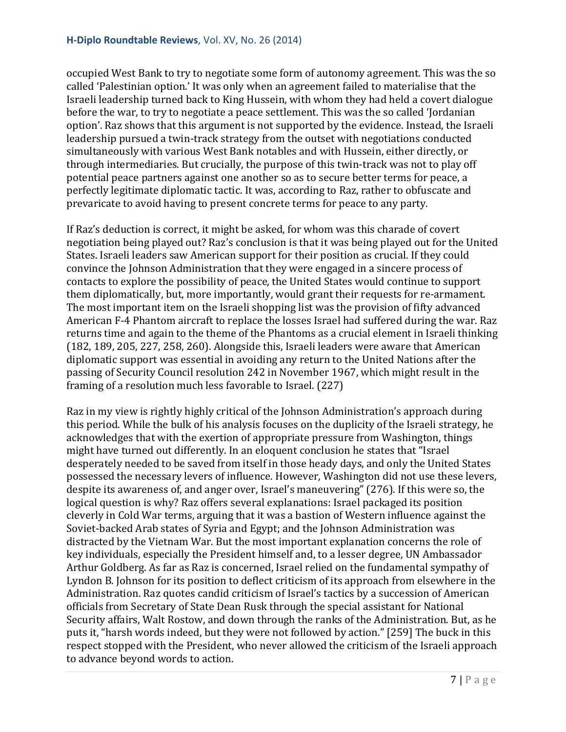occupied West Bank to try to negotiate some form of autonomy agreement. This was the so called 'Palestinian option.' It was only when an agreement failed to materialise that the Israeli leadership turned back to King Hussein, with whom they had held a covert dialogue before the war, to try to negotiate a peace settlement. This was the so called 'Jordanian option'. Raz shows that this argument is not supported by the evidence. Instead, the Israeli leadership pursued a twin-track strategy from the outset with negotiations conducted simultaneously with various West Bank notables and with Hussein, either directly, or through intermediaries. But crucially, the purpose of this twin-track was not to play off potential peace partners against one another so as to secure better terms for peace, a perfectly legitimate diplomatic tactic. It was, according to Raz, rather to obfuscate and prevaricate to avoid having to present concrete terms for peace to any party.

If Raz's deduction is correct, it might be asked, for whom was this charade of covert negotiation being played out? Raz's conclusion is that it was being played out for the United States. Israeli leaders saw American support for their position as crucial. If they could convince the Johnson Administration that they were engaged in a sincere process of contacts to explore the possibility of peace, the United States would continue to support them diplomatically, but, more importantly, would grant their requests for re-armament. The most important item on the Israeli shopping list was the provision of fifty advanced American F-4 Phantom aircraft to replace the losses Israel had suffered during the war. Raz returns time and again to the theme of the Phantoms as a crucial element in Israeli thinking (182, 189, 205, 227, 258, 260). Alongside this, Israeli leaders were aware that American diplomatic support was essential in avoiding any return to the United Nations after the passing of Security Council resolution 242 in November 1967, which might result in the framing of a resolution much less favorable to Israel. (227)

Raz in my view is rightly highly critical of the Johnson Administration's approach during this period. While the bulk of his analysis focuses on the duplicity of the Israeli strategy, he acknowledges that with the exertion of appropriate pressure from Washington, things might have turned out differently. In an eloquent conclusion he states that "Israel desperately needed to be saved from itself in those heady days, and only the United States possessed the necessary levers of influence. However, Washington did not use these levers, despite its awareness of, and anger over, Israel's maneuvering" (276). If this were so, the logical question is why? Raz offers several explanations: Israel packaged its position cleverly in Cold War terms, arguing that it was a bastion of Western influence against the Soviet-backed Arab states of Syria and Egypt; and the Johnson Administration was distracted by the Vietnam War. But the most important explanation concerns the role of key individuals, especially the President himself and, to a lesser degree, UN Ambassador Arthur Goldberg. As far as Raz is concerned, Israel relied on the fundamental sympathy of Lyndon B. Johnson for its position to deflect criticism of its approach from elsewhere in the Administration. Raz quotes candid criticism of Israel's tactics by a succession of American officials from Secretary of State Dean Rusk through the special assistant for National Security affairs, Walt Rostow, and down through the ranks of the Administration. But, as he puts it, "harsh words indeed, but they were not followed by action." [259] The buck in this respect stopped with the President, who never allowed the criticism of the Israeli approach to advance beyond words to action.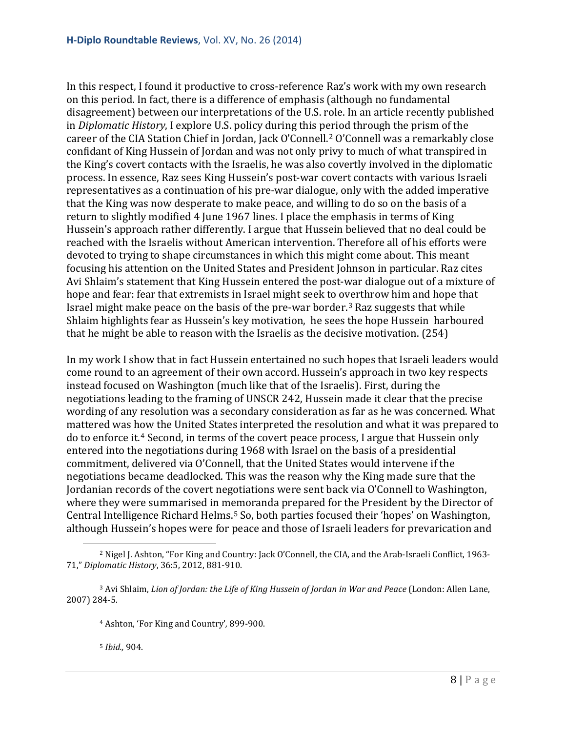In this respect, I found it productive to cross-reference Raz's work with my own research on this period. In fact, there is a difference of emphasis (although no fundamental disagreement) between our interpretations of the U.S. role. In an article recently published in *Diplomatic History*, I explore U.S. policy during this period through the prism of the career of the CIA Station Chief in Jordan, Jack O'Connell.[2](#page-7-0) O'Connell was a remarkably close confidant of King Hussein of Jordan and was not only privy to much of what transpired in the King's covert contacts with the Israelis, he was also covertly involved in the diplomatic process. In essence, Raz sees King Hussein's post-war covert contacts with various Israeli representatives as a continuation of his pre-war dialogue, only with the added imperative that the King was now desperate to make peace, and willing to do so on the basis of a return to slightly modified 4 June 1967 lines. I place the emphasis in terms of King Hussein's approach rather differently. I argue that Hussein believed that no deal could be reached with the Israelis without American intervention. Therefore all of his efforts were devoted to trying to shape circumstances in which this might come about. This meant focusing his attention on the United States and President Johnson in particular. Raz cites Avi Shlaim's statement that King Hussein entered the post-war dialogue out of a mixture of hope and fear: fear that extremists in Israel might seek to overthrow him and hope that Israel might make peace on the basis of the pre-war border.[3](#page-7-1) Raz suggests that while Shlaim highlights fear as Hussein's key motivation, he sees the hope Hussein harboured that he might be able to reason with the Israelis as the decisive motivation. (254)

In my work I show that in fact Hussein entertained no such hopes that Israeli leaders would come round to an agreement of their own accord. Hussein's approach in two key respects instead focused on Washington (much like that of the Israelis). First, during the negotiations leading to the framing of UNSCR 242, Hussein made it clear that the precise wording of any resolution was a secondary consideration as far as he was concerned. What mattered was how the United States interpreted the resolution and what it was prepared to do to enforce it.[4](#page-7-2) Second, in terms of the covert peace process, I argue that Hussein only entered into the negotiations during 1968 with Israel on the basis of a presidential commitment, delivered via O'Connell, that the United States would intervene if the negotiations became deadlocked. This was the reason why the King made sure that the Jordanian records of the covert negotiations were sent back via O'Connell to Washington, where they were summarised in memoranda prepared for the President by the Director of Central Intelligence Richard Helms.[5](#page-7-3) So, both parties focused their 'hopes' on Washington, although Hussein's hopes were for peace and those of Israeli leaders for prevarication and

<sup>5</sup> *Ibid.,* 904.

<span id="page-7-0"></span><sup>2</sup> Nigel J. Ashton, "For King and Country: Jack O'Connell, the CIA, and the Arab-Israeli Conflict, 1963- 71," *Diplomatic History*, 36:5, 2012, 881-910. i<br>I

<span id="page-7-3"></span><span id="page-7-2"></span><span id="page-7-1"></span><sup>3</sup> Avi Shlaim, *Lion of Jordan: the Life of King Hussein of Jordan in War and Peace* (London: Allen Lane, 2007) 284-5.

<sup>4</sup> Ashton, 'For King and Country'*,* 899-900.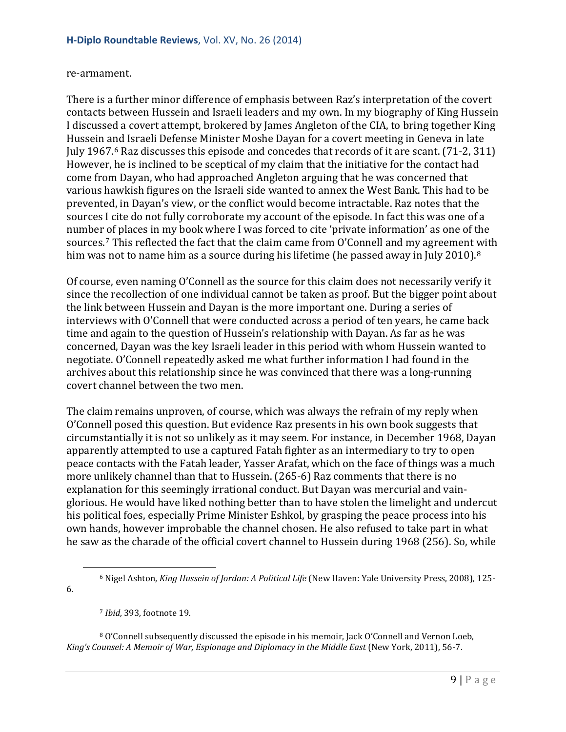#### re-armament.

There is a further minor difference of emphasis between Raz's interpretation of the covert contacts between Hussein and Israeli leaders and my own. In my biography of King Hussein I discussed a covert attempt, brokered by James Angleton of the CIA, to bring together King Hussein and Israeli Defense Minister Moshe Dayan for a covert meeting in Geneva in late July 1967.[6](#page-8-0) Raz discusses this episode and concedes that records of it are scant. (71-2, 311) However, he is inclined to be sceptical of my claim that the initiative for the contact had come from Dayan, who had approached Angleton arguing that he was concerned that various hawkish figures on the Israeli side wanted to annex the West Bank. This had to be prevented, in Dayan's view, or the conflict would become intractable. Raz notes that the sources I cite do not fully corroborate my account of the episode. In fact this was one of a number of places in my book where I was forced to cite 'private information' as one of the sources.[7](#page-8-1) This reflected the fact that the claim came from O'Connell and my agreement with him was not to name him as a source during his lifetime (he passed away in July 2010).<sup>[8](#page-8-2)</sup>

Of course, even naming O'Connell as the source for this claim does not necessarily verify it since the recollection of one individual cannot be taken as proof. But the bigger point about the link between Hussein and Dayan is the more important one. During a series of interviews with O'Connell that were conducted across a period of ten years, he came back time and again to the question of Hussein's relationship with Dayan. As far as he was concerned, Dayan was the key Israeli leader in this period with whom Hussein wanted to negotiate. O'Connell repeatedly asked me what further information I had found in the archives about this relationship since he was convinced that there was a long-running covert channel between the two men.

The claim remains unproven, of course, which was always the refrain of my reply when O'Connell posed this question. But evidence Raz presents in his own book suggests that circumstantially it is not so unlikely as it may seem. For instance, in December 1968, Dayan apparently attempted to use a captured Fatah fighter as an intermediary to try to open peace contacts with the Fatah leader, Yasser Arafat, which on the face of things was a much more unlikely channel than that to Hussein. (265-6) Raz comments that there is no explanation for this seemingly irrational conduct. But Dayan was mercurial and vainglorious. He would have liked nothing better than to have stolen the limelight and undercut his political foes, especially Prime Minister Eshkol, by grasping the peace process into his own hands, however improbable the channel chosen. He also refused to take part in what he saw as the charade of the official covert channel to Hussein during 1968 (256). So, while

<span id="page-8-0"></span>6.

i<br>I

<span id="page-8-2"></span><span id="page-8-1"></span><sup>8</sup> O'Connell subsequently discussed the episode in his memoir, Jack O'Connell and Vernon Loeb, *King's Counsel: A Memoir of War, Espionage and Diplomacy in the Middle East* (New York, 2011), 56-7.

<sup>6</sup> Nigel Ashton, *King Hussein of Jordan: A Political Life* (New Haven: Yale University Press, 2008), 125-

<sup>7</sup> *Ibid*, 393, footnote 19.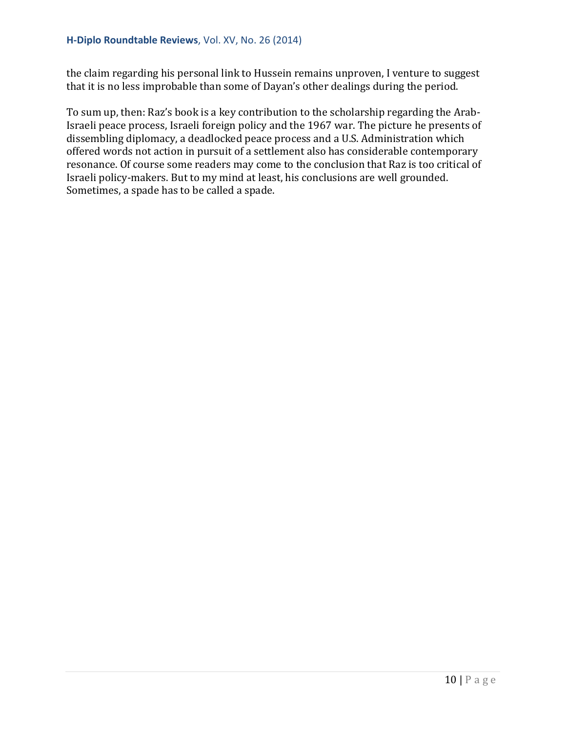the claim regarding his personal link to Hussein remains unproven, I venture to suggest that it is no less improbable than some of Dayan's other dealings during the period.

To sum up, then: Raz's book is a key contribution to the scholarship regarding the Arab-Israeli peace process, Israeli foreign policy and the 1967 war. The picture he presents of dissembling diplomacy, a deadlocked peace process and a U.S. Administration which offered words not action in pursuit of a settlement also has considerable contemporary resonance. Of course some readers may come to the conclusion that Raz is too critical of Israeli policy-makers. But to my mind at least, his conclusions are well grounded. Sometimes, a spade has to be called a spade.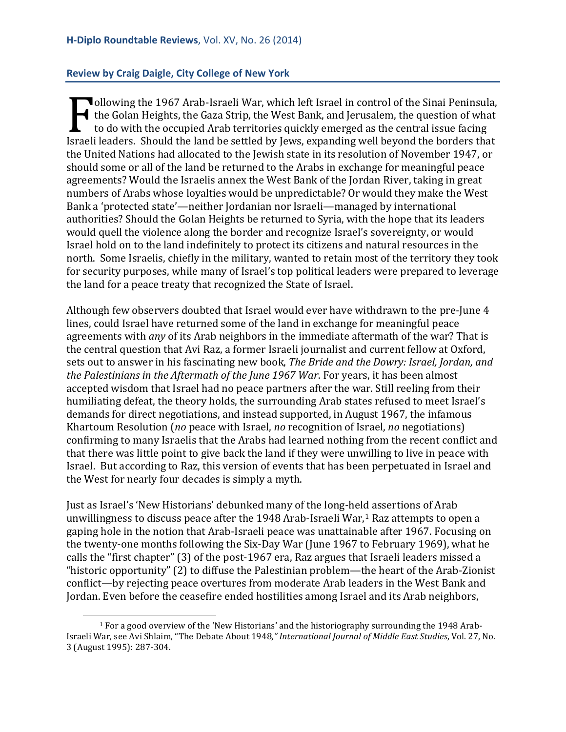#### <span id="page-10-0"></span>**Review by Craig Daigle, City College of New York**

ollowing the 1967 Arab-Israeli War, which left Israel in control of the Sinai Peninsula, the Golan Heights, the Gaza Strip, the West Bank, and Jerusalem, the question of what to do with the occupied Arab territories quickly emerged as the central issue facing Israeli leaders. Should the land be settled by Jews, expanding well beyond the borders that<br>
the United Nations had allocated to the lowish state in its resolution of November 1947, or<br>
Final Israeli leaders. Should the la the United Nations had allocated to the Jewish state in its resolution of November 1947, or should some or all of the land be returned to the Arabs in exchange for meaningful peace agreements? Would the Israelis annex the West Bank of the Jordan River, taking in great numbers of Arabs whose loyalties would be unpredictable? Or would they make the West Bank a 'protected state'—neither Jordanian nor Israeli—managed by international authorities? Should the Golan Heights be returned to Syria, with the hope that its leaders would quell the violence along the border and recognize Israel's sovereignty, or would Israel hold on to the land indefinitely to protect its citizens and natural resources in the north. Some Israelis, chiefly in the military, wanted to retain most of the territory they took for security purposes, while many of Israel's top political leaders were prepared to leverage the land for a peace treaty that recognized the State of Israel.

Although few observers doubted that Israel would ever have withdrawn to the pre-June 4 lines, could Israel have returned some of the land in exchange for meaningful peace agreements with *any* of its Arab neighbors in the immediate aftermath of the war? That is the central question that Avi Raz, a former Israeli journalist and current fellow at Oxford, sets out to answer in his fascinating new book, *The Bride and the Dowry: Israel, Jordan, and the Palestinians in the Aftermath of the June 1967 War*. For years, it has been almost accepted wisdom that Israel had no peace partners after the war. Still reeling from their humiliating defeat, the theory holds, the surrounding Arab states refused to meet Israel's demands for direct negotiations, and instead supported, in August 1967, the infamous Khartoum Resolution (*no* peace with Israel, *no* recognition of Israel, *no* negotiations) confirming to many Israelis that the Arabs had learned nothing from the recent conflict and that there was little point to give back the land if they were unwilling to live in peace with Israel. But according to Raz, this version of events that has been perpetuated in Israel and the West for nearly four decades is simply a myth.

Just as Israel's 'New Historians' debunked many of the long-held assertions of Arab unwillingness to discuss peace after the [1](#page-10-1)948 Arab-Israeli War,<sup>1</sup> Raz attempts to open a gaping hole in the notion that Arab-Israeli peace was unattainable after 1967. Focusing on the twenty-one months following the Six-Day War (June 1967 to February 1969), what he calls the "first chapter" (3) of the post-1967 era, Raz argues that Israeli leaders missed a "historic opportunity" (2) to diffuse the Palestinian problem—the heart of the Arab-Zionist conflict—by rejecting peace overtures from moderate Arab leaders in the West Bank and Jordan. Even before the ceasefire ended hostilities among Israel and its Arab neighbors,

<span id="page-10-1"></span><sup>1</sup> For a good overview of the 'New Historians' and the historiography surrounding the 1948 Arab-Israeli War, see Avi Shlaim, "The Debate About 1948*," International Journal of Middle East Studies*, Vol. 27, No. 3 (August 1995): 287-304. I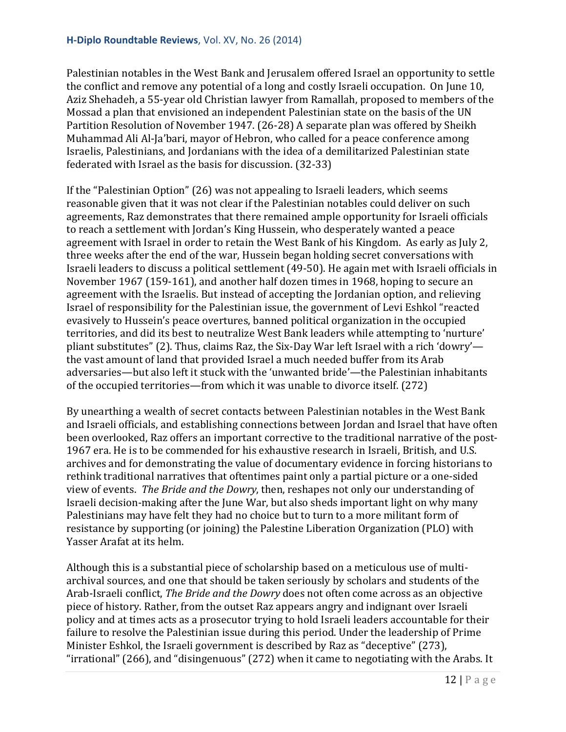Palestinian notables in the West Bank and Jerusalem offered Israel an opportunity to settle the conflict and remove any potential of a long and costly Israeli occupation. On June 10, Aziz Shehadeh, a 55-year old Christian lawyer from Ramallah, proposed to members of the Mossad a plan that envisioned an independent Palestinian state on the basis of the UN Partition Resolution of November 1947. (26-28) A separate plan was offered by Sheikh Muhammad Ali Al-Ja'bari, mayor of Hebron, who called for a peace conference among Israelis, Palestinians, and Jordanians with the idea of a demilitarized Palestinian state federated with Israel as the basis for discussion. (32-33)

If the "Palestinian Option" (26) was not appealing to Israeli leaders, which seems reasonable given that it was not clear if the Palestinian notables could deliver on such agreements, Raz demonstrates that there remained ample opportunity for Israeli officials to reach a settlement with Jordan's King Hussein, who desperately wanted a peace agreement with Israel in order to retain the West Bank of his Kingdom. As early as July 2, three weeks after the end of the war, Hussein began holding secret conversations with Israeli leaders to discuss a political settlement (49-50). He again met with Israeli officials in November 1967 (159-161), and another half dozen times in 1968, hoping to secure an agreement with the Israelis. But instead of accepting the Jordanian option, and relieving Israel of responsibility for the Palestinian issue, the government of Levi Eshkol "reacted evasively to Hussein's peace overtures, banned political organization in the occupied territories, and did its best to neutralize West Bank leaders while attempting to 'nurture' pliant substitutes" (2). Thus, claims Raz, the Six-Day War left Israel with a rich 'dowry' the vast amount of land that provided Israel a much needed buffer from its Arab adversaries—but also left it stuck with the 'unwanted bride'—the Palestinian inhabitants of the occupied territories—from which it was unable to divorce itself. (272)

By unearthing a wealth of secret contacts between Palestinian notables in the West Bank and Israeli officials, and establishing connections between Jordan and Israel that have often been overlooked, Raz offers an important corrective to the traditional narrative of the post-1967 era. He is to be commended for his exhaustive research in Israeli, British, and U.S. archives and for demonstrating the value of documentary evidence in forcing historians to rethink traditional narratives that oftentimes paint only a partial picture or a one-sided view of events. *The Bride and the Dowry*, then, reshapes not only our understanding of Israeli decision-making after the June War, but also sheds important light on why many Palestinians may have felt they had no choice but to turn to a more militant form of resistance by supporting (or joining) the Palestine Liberation Organization (PLO) with Yasser Arafat at its helm.

Although this is a substantial piece of scholarship based on a meticulous use of multiarchival sources, and one that should be taken seriously by scholars and students of the Arab-Israeli conflict, *The Bride and the Dowry* does not often come across as an objective piece of history. Rather, from the outset Raz appears angry and indignant over Israeli policy and at times acts as a prosecutor trying to hold Israeli leaders accountable for their failure to resolve the Palestinian issue during this period. Under the leadership of Prime Minister Eshkol, the Israeli government is described by Raz as "deceptive" (273), "irrational" (266), and "disingenuous" (272) when it came to negotiating with the Arabs. It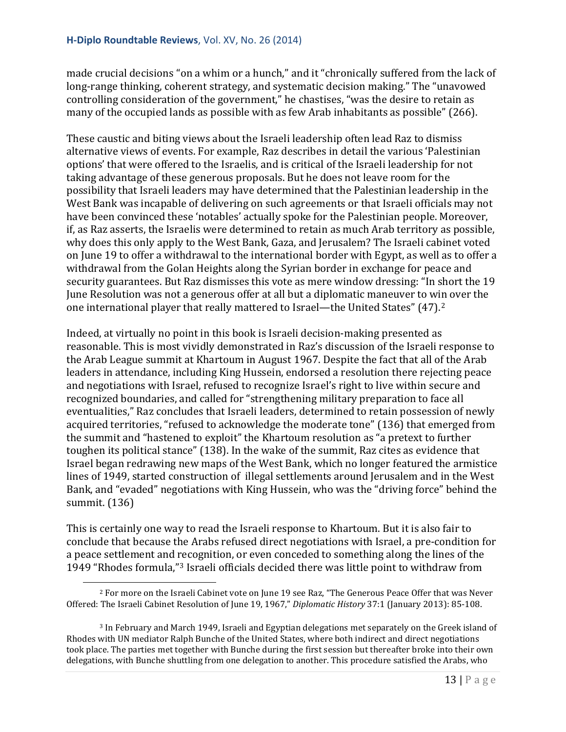made crucial decisions "on a whim or a hunch," and it "chronically suffered from the lack of long-range thinking, coherent strategy, and systematic decision making." The "unavowed controlling consideration of the government," he chastises, "was the desire to retain as many of the occupied lands as possible with as few Arab inhabitants as possible" (266).

These caustic and biting views about the Israeli leadership often lead Raz to dismiss alternative views of events. For example, Raz describes in detail the various 'Palestinian options' that were offered to the Israelis, and is critical of the Israeli leadership for not taking advantage of these generous proposals. But he does not leave room for the possibility that Israeli leaders may have determined that the Palestinian leadership in the West Bank was incapable of delivering on such agreements or that Israeli officials may not have been convinced these 'notables' actually spoke for the Palestinian people. Moreover, if, as Raz asserts, the Israelis were determined to retain as much Arab territory as possible, why does this only apply to the West Bank, Gaza, and Jerusalem? The Israeli cabinet voted on June 19 to offer a withdrawal to the international border with Egypt, as well as to offer a withdrawal from the Golan Heights along the Syrian border in exchange for peace and security guarantees. But Raz dismisses this vote as mere window dressing: "In short the 19 June Resolution was not a generous offer at all but a diplomatic maneuver to win over the one international player that really mattered to Israel—the United States" (47).[2](#page-12-0)

Indeed, at virtually no point in this book is Israeli decision-making presented as reasonable. This is most vividly demonstrated in Raz's discussion of the Israeli response to the Arab League summit at Khartoum in August 1967. Despite the fact that all of the Arab leaders in attendance, including King Hussein, endorsed a resolution there rejecting peace and negotiations with Israel, refused to recognize Israel's right to live within secure and recognized boundaries, and called for "strengthening military preparation to face all eventualities," Raz concludes that Israeli leaders, determined to retain possession of newly acquired territories, "refused to acknowledge the moderate tone" (136) that emerged from the summit and "hastened to exploit" the Khartoum resolution as "a pretext to further toughen its political stance" (138). In the wake of the summit, Raz cites as evidence that Israel began redrawing new maps of the West Bank, which no longer featured the armistice lines of 1949, started construction of illegal settlements around Jerusalem and in the West Bank, and "evaded" negotiations with King Hussein, who was the "driving force" behind the summit. (136)

This is certainly one way to read the Israeli response to Khartoum. But it is also fair to conclude that because the Arabs refused direct negotiations with Israel, a pre-condition for a peace settlement and recognition, or even conceded to something along the lines of the 1949 "Rhodes formula,"[3](#page-12-1) Israeli officials decided there was little point to withdraw from

<span id="page-12-0"></span><sup>2</sup> For more on the Israeli Cabinet vote on June 19 see Raz, "The Generous Peace Offer that was Never Offered: The Israeli Cabinet Resolution of June 19, 1967," *Diplomatic History* 37:1 (January 2013): 85-108. i<br>I

<span id="page-12-1"></span><sup>3</sup> In February and March 1949, Israeli and Egyptian delegations met separately on the Greek island of Rhodes with UN mediator Ralph Bunche of the United States, where both indirect and direct negotiations took place. The parties met together with Bunche during the first session but thereafter broke into their own delegations, with Bunche shuttling from one delegation to another. This procedure satisfied the Arabs, who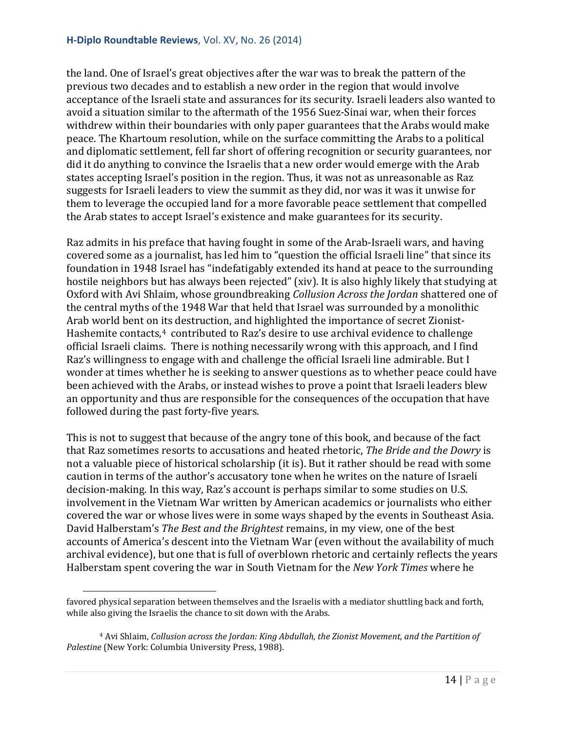the land. One of Israel's great objectives after the war was to break the pattern of the previous two decades and to establish a new order in the region that would involve acceptance of the Israeli state and assurances for its security. Israeli leaders also wanted to avoid a situation similar to the aftermath of the 1956 Suez-Sinai war, when their forces withdrew within their boundaries with only paper guarantees that the Arabs would make peace. The Khartoum resolution, while on the surface committing the Arabs to a political and diplomatic settlement, fell far short of offering recognition or security guarantees, nor did it do anything to convince the Israelis that a new order would emerge with the Arab states accepting Israel's position in the region. Thus, it was not as unreasonable as Raz suggests for Israeli leaders to view the summit as they did, nor was it was it unwise for them to leverage the occupied land for a more favorable peace settlement that compelled the Arab states to accept Israel's existence and make guarantees for its security.

Raz admits in his preface that having fought in some of the Arab-Israeli wars, and having covered some as a journalist, has led him to "question the official Israeli line" that since its foundation in 1948 Israel has "indefatigably extended its hand at peace to the surrounding hostile neighbors but has always been rejected" (xiv). It is also highly likely that studying at Oxford with Avi Shlaim, whose groundbreaking *Collusion Across the Jordan* shattered one of the central myths of the 1948 War that held that Israel was surrounded by a monolithic Arab world bent on its destruction, and highlighted the importance of secret Zionist-Hashemite contacts,<sup>[4](#page-13-0)</sup> contributed to Raz's desire to use archival evidence to challenge official Israeli claims. There is nothing necessarily wrong with this approach, and I find Raz's willingness to engage with and challenge the official Israeli line admirable. But I wonder at times whether he is seeking to answer questions as to whether peace could have been achieved with the Arabs, or instead wishes to prove a point that Israeli leaders blew an opportunity and thus are responsible for the consequences of the occupation that have followed during the past forty-five years.

This is not to suggest that because of the angry tone of this book, and because of the fact that Raz sometimes resorts to accusations and heated rhetoric, *The Bride and the Dowry* is not a valuable piece of historical scholarship (it is). But it rather should be read with some caution in terms of the author's accusatory tone when he writes on the nature of Israeli decision-making. In this way, Raz's account is perhaps similar to some studies on U.S. involvement in the Vietnam War written by American academics or journalists who either covered the war or whose lives were in some ways shaped by the events in Southeast Asia. David Halberstam's *The Best and the Brightest* remains, in my view, one of the best accounts of America's descent into the Vietnam War (even without the availability of much archival evidence), but one that is full of overblown rhetoric and certainly reflects the years Halberstam spent covering the war in South Vietnam for the *New York Times* where he

favored physical separation between themselves and the Israelis with a mediator shuttling back and forth, while also giving the Israelis the chance to sit down with the Arabs. i<br>I

<span id="page-13-0"></span><sup>4</sup> Avi Shlaim, *Collusion across the Jordan: King Abdullah, the Zionist Movement, and the Partition of Palestine* (New York: Columbia University Press, 1988).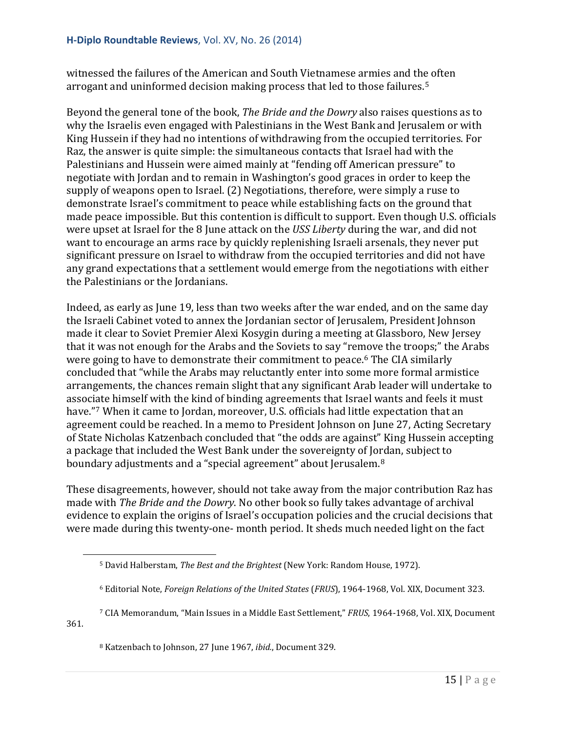witnessed the failures of the American and South Vietnamese armies and the often arrogant and uninformed decision making process that led to those failures.[5](#page-14-0)

Beyond the general tone of the book, *The Bride and the Dowry* also raises questions as to why the Israelis even engaged with Palestinians in the West Bank and Jerusalem or with King Hussein if they had no intentions of withdrawing from the occupied territories. For Raz, the answer is quite simple: the simultaneous contacts that Israel had with the Palestinians and Hussein were aimed mainly at "fending off American pressure" to negotiate with Jordan and to remain in Washington's good graces in order to keep the supply of weapons open to Israel. (2) Negotiations, therefore, were simply a ruse to demonstrate Israel's commitment to peace while establishing facts on the ground that made peace impossible. But this contention is difficult to support. Even though U.S. officials were upset at Israel for the 8 June attack on the *USS Liberty* during the war, and did not want to encourage an arms race by quickly replenishing Israeli arsenals, they never put significant pressure on Israel to withdraw from the occupied territories and did not have any grand expectations that a settlement would emerge from the negotiations with either the Palestinians or the Jordanians.

Indeed, as early as June 19, less than two weeks after the war ended, and on the same day the Israeli Cabinet voted to annex the Jordanian sector of Jerusalem, President Johnson made it clear to Soviet Premier Alexi Kosygin during a meeting at Glassboro, New Jersey that it was not enough for the Arabs and the Soviets to say "re[mo](#page-14-1)ve the troops;" the Arabs were going to have to demonstrate their commitment to peace.<sup>6</sup> The CIA similarly concluded that "while the Arabs may reluctantly enter into some more formal armistice arrangements, the chances remain slight that any significant Arab leader will undertake to associate himself with the kind of binding agreements that Israel wants and feels it must have."[7](#page-14-2) When it came to Jordan, moreover, U.S. officials had little expectation that an agreement could be reached. In a memo to President Johnson on June 27, Acting Secretary of State Nicholas Katzenbach concluded that "the odds are against" King Hussein accepting a package that included the West Bank under the sovereignty of Jordan, subject to boundary adjustments and a "special agreement" about Jerusalem.<sup>[8](#page-14-3)</sup>

These disagreements, however, should not take away from the major contribution Raz has made with *The Bride and the Dowry*. No other book so fully takes advantage of archival evidence to explain the origins of Israel's occupation policies and the crucial decisions that were made during this twenty-one- month period. It sheds much needed light on the fact

i<br>I

<sup>5</sup> David Halberstam, *The Best and the Brightest* (New York: Random House, 1972).

<sup>6</sup> Editorial Note, *Foreign Relations of the United States* (*FRUS*), 1964-1968, Vol. XIX, Document 323.

<span id="page-14-3"></span><span id="page-14-2"></span><span id="page-14-1"></span><span id="page-14-0"></span><sup>7</sup> CIA Memorandum, "Main Issues in a Middle East Settlement," *FRUS*, 1964-1968, Vol. XIX, Document 361.

<sup>8</sup> Katzenbach to Johnson, 27 June 1967, *ibid.*, Document 329.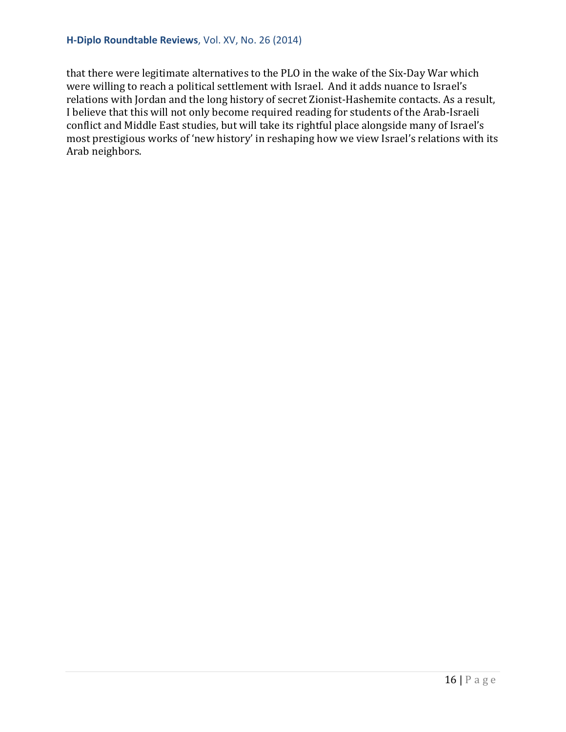#### **H-Diplo Roundtable Reviews**, Vol. XV, No. 26 (2014)

that there were legitimate alternatives to the PLO in the wake of the Six-Day War which were willing to reach a political settlement with Israel. And it adds nuance to Israel's relations with Jordan and the long history of secret Zionist-Hashemite contacts. As a result, I believe that this will not only become required reading for students of the Arab-Israeli conflict and Middle East studies, but will take its rightful place alongside many of Israel's most prestigious works of 'new history' in reshaping how we view Israel's relations with its Arab neighbors.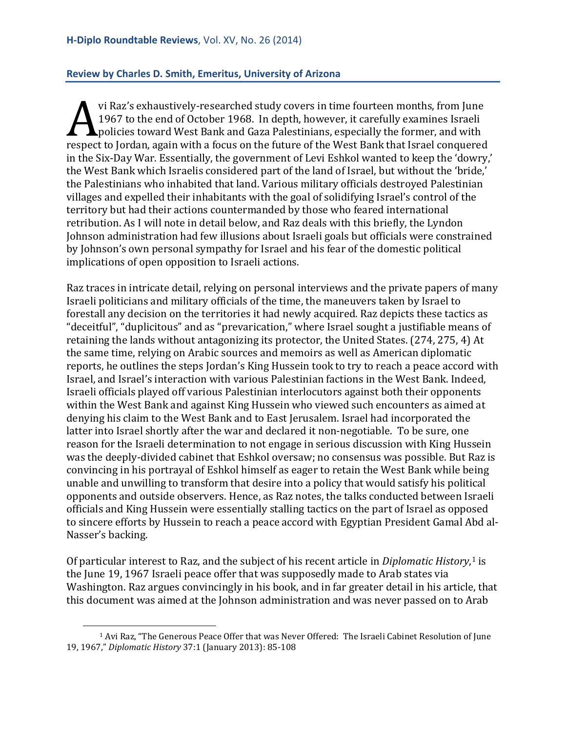#### <span id="page-16-0"></span>**Review by Charles D. Smith, Emeritus, University of Arizona**

vi Raz's exhaustively-researched study covers in time fourteen months, from June 1967 to the end of October 1968. In depth, however, it carefully examines Israeli **Apolicies toward West Bank and Gaza Palestinians, especially the former, and with** The Six-Day War. Essentially the government of Lovi Eshkel wanted to keep the Six-Day War. Essentially the government of Lovi Eshkel wanted to keep the Six-Day War. Essentially the government of Lovi Eshkel wanted to keep in the Six-Day War. Essentially, the government of Levi Eshkol wanted to keep the 'dowry,' the West Bank which Israelis considered part of the land of Israel, but without the 'bride,' the Palestinians who inhabited that land. Various military officials destroyed Palestinian villages and expelled their inhabitants with the goal of solidifying Israel's control of the territory but had their actions countermanded by those who feared international retribution. As I will note in detail below, and Raz deals with this briefly, the Lyndon Johnson administration had few illusions about Israeli goals but officials were constrained by Johnson's own personal sympathy for Israel and his fear of the domestic political implications of open opposition to Israeli actions.

Raz traces in intricate detail, relying on personal interviews and the private papers of many Israeli politicians and military officials of the time, the maneuvers taken by Israel to forestall any decision on the territories it had newly acquired. Raz depicts these tactics as "deceitful", "duplicitous" and as "prevarication," where Israel sought a justifiable means of retaining the lands without antagonizing its protector, the United States. (274, 275, 4) At the same time, relying on Arabic sources and memoirs as well as American diplomatic reports, he outlines the steps Jordan's King Hussein took to try to reach a peace accord with Israel, and Israel's interaction with various Palestinian factions in the West Bank. Indeed, Israeli officials played off various Palestinian interlocutors against both their opponents within the West Bank and against King Hussein who viewed such encounters as aimed at denying his claim to the West Bank and to East Jerusalem. Israel had incorporated the latter into Israel shortly after the war and declared it non-negotiable. To be sure, one reason for the Israeli determination to not engage in serious discussion with King Hussein was the deeply-divided cabinet that Eshkol oversaw; no consensus was possible. But Raz is convincing in his portrayal of Eshkol himself as eager to retain the West Bank while being unable and unwilling to transform that desire into a policy that would satisfy his political opponents and outside observers. Hence, as Raz notes, the talks conducted between Israeli officials and King Hussein were essentially stalling tactics on the part of Israel as opposed to sincere efforts by Hussein to reach a peace accord with Egyptian President Gamal Abd al-Nasser's backing.

Of particular interest to Raz, and the subject of his recent article in *Diplomatic History*, [1](#page-16-1) is the June 19, 1967 Israeli peace offer that was supposedly made to Arab states via Washington. Raz argues convincingly in his book, and in far greater detail in his article, that this document was aimed at the Johnson administration and was never passed on to Arab

<span id="page-16-1"></span><sup>1</sup> Avi Raz, "The Generous Peace Offer that was Never Offered: The Israeli Cabinet Resolution of June 19, 1967," *Diplomatic History* 37:1 (January 2013): 85-108 i<br>I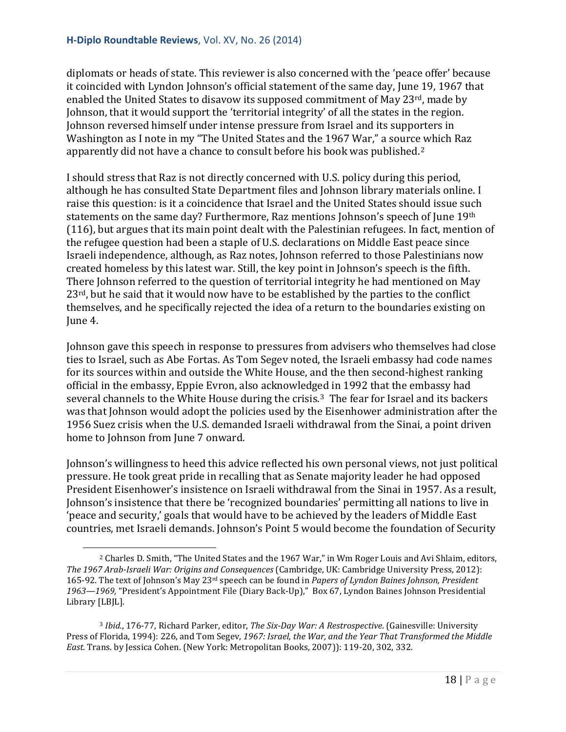diplomats or heads of state. This reviewer is also concerned with the 'peace offer' because it coincided with Lyndon Johnson's official statement of the same day, June 19, 1967 that enabled the United States to disavow its supposed commitment of May 23 $rd$ , made by Johnson, that it would support the 'territorial integrity' of all the states in the region. Johnson reversed himself under intense pressure from Israel and its supporters in Washington as I note in my "The United States and the 1967 War," a sourc[e w](#page-17-0)hich Raz apparently did not have a chance to consult before his book was published.2

I should stress that Raz is not directly concerned with U.S. policy during this period, although he has consulted State Department files and Johnson library materials online. I raise this question: is it a coincidence that Israel and the United States should issue such statements on the same day? Furthermore, Raz mentions Johnson's speech of June 19th (116), but argues that its main point dealt with the Palestinian refugees. In fact, mention of the refugee question had been a staple of U.S. declarations on Middle East peace since Israeli independence, although, as Raz notes, Johnson referred to those Palestinians now created homeless by this latest war. Still, the key point in Johnson's speech is the fifth. There Johnson referred to the question of territorial integrity he had mentioned on May  $23<sup>rd</sup>$ , but he said that it would now have to be established by the parties to the conflict themselves, and he specifically rejected the idea of a return to the boundaries existing on June 4.

Johnson gave this speech in response to pressures from advisers who themselves had close ties to Israel, such as Abe Fortas. As Tom Segev noted, the Israeli embassy had code names for its sources within and outside the White House, and the then second-highest ranking official in the embassy, Eppie Evron, also acknowledged in 1992 that the embassy had several channels to the White House during the crisis.<sup>[3](#page-17-1)</sup> The fear for Israel and its backers was that Johnson would adopt the policies used by the Eisenhower administration after the 1956 Suez crisis when the U.S. demanded Israeli withdrawal from the Sinai, a point driven home to Johnson from June 7 onward.

Johnson's willingness to heed this advice reflected his own personal views, not just political pressure. He took great pride in recalling that as Senate majority leader he had opposed President Eisenhower's insistence on Israeli withdrawal from the Sinai in 1957. As a result, Johnson's insistence that there be 'recognized boundaries' permitting all nations to live in 'peace and security,' goals that would have to be achieved by the leaders of Middle East countries, met Israeli demands. Johnson's Point 5 would become the foundation of Security

<span id="page-17-0"></span><sup>2</sup> Charles D. Smith, "The United States and the 1967 War," in Wm Roger Louis and Avi Shlaim, editors, *The 1967 Arab-Israeli War: Origins and Consequences* (Cambridge, UK: Cambridge University Press, 2012): 165-92. The text of Johnson's May 23rd speech can be found in *Papers of Lyndon Baines Johnson, President 1963—1969,* "President's Appointment File (Diary Back-Up)," Box 67, Lyndon Baines Johnson Presidential Library [LBJL]. i<br>I

<span id="page-17-1"></span><sup>3</sup> *Ibid.*, 176-77, Richard Parker, editor, *The Six-Day War: A Restrospective*. (Gainesville: University Press of Florida, 1994): 226, and Tom Segev, *1967: Israel, the War, and the Year That Transformed the Middle East.* Trans. by Jessica Cohen. (New York: Metropolitan Books, 2007)): 119-20, 302, 332.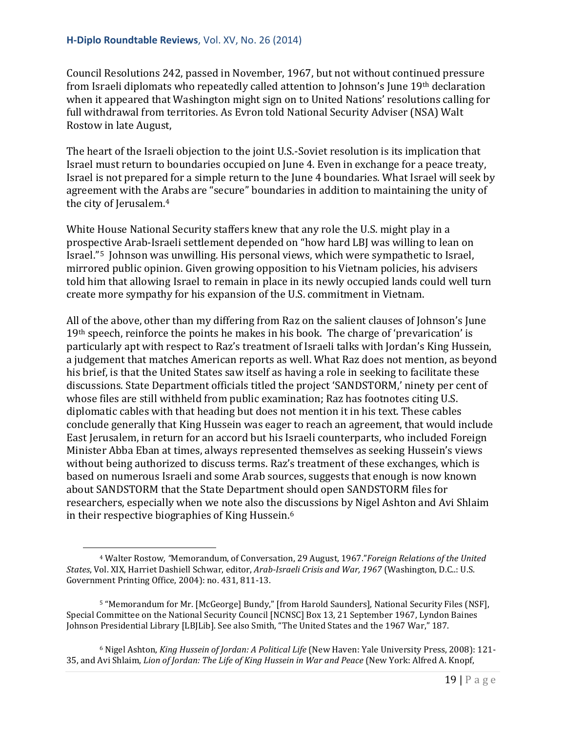# **H-Diplo Roundtable Reviews**, Vol. XV, No. 26 (2014)

Council Resolutions 242, passed in November, 1967, but not without continued pressure from Israeli diplomats who repeatedly called attention to Johnson's June 19th declaration when it appeared that Washington might sign on to United Nations' resolutions calling for full withdrawal from territories. As Evron told National Security Adviser (NSA) Walt Rostow in late August,

The heart of the Israeli objection to the joint U.S.-Soviet resolution is its implication that Israel must return to boundaries occupied on June 4. Even in exchange for a peace treaty, Israel is not prepared for a simple return to the June 4 boundaries. What Israel will seek by agreement with the Arabs are "secure" boundaries in addition to maintaining the unity of the city of Jerusalem.[4](#page-18-0)

White House National Security staffers knew that any role the U.S. might play in a prospective Arab-Israeli settlement depended on "how hard LBJ was willing to lean on Israel."[5](#page-18-1) Johnson was unwilling. His personal views, which were sympathetic to Israel, mirrored public opinion. Given growing opposition to his Vietnam policies, his advisers told him that allowing Israel to remain in place in its newly occupied lands could well turn create more sympathy for his expansion of the U.S. commitment in Vietnam.

All of the above, other than my differing from Raz on the salient clauses of Johnson's June  $19<sup>th</sup>$  speech, reinforce the points he makes in his book. The charge of 'prevarication' is particularly apt with respect to Raz's treatment of Israeli talks with Jordan's King Hussein, a judgement that matches American reports as well. What Raz does not mention, as beyond his brief, is that the United States saw itself as having a role in seeking to facilitate these discussions. State Department officials titled the project 'SANDSTORM,' ninety per cent of whose files are still withheld from public examination; Raz has footnotes citing U.S. diplomatic cables with that heading but does not mention it in his text. These cables conclude generally that King Hussein was eager to reach an agreement, that would include East Jerusalem, in return for an accord but his Israeli counterparts, who included Foreign Minister Abba Eban at times, always represented themselves as seeking Hussein's views without being authorized to discuss terms. Raz's treatment of these exchanges, which is based on numerous Israeli and some Arab sources, suggests that enough is now known about SANDSTORM that the State Department should open SANDSTORM files for researchers, especially when we note also the discussions by Nigel Ashton and Avi Shlaim in their respective biographies of King Hussein.[6](#page-18-2)

<span id="page-18-0"></span><sup>4</sup> Walter Rostow*, "*Memorandum, of Conversation, 29 August, 1967."*Foreign Relations of the United States*, Vol. XIX, Harriet Dashiell Schwar, editor, *Arab-Israeli Crisis and War, 1967* (Washington, D.C..: U.S. Government Printing Office, 2004): no. 431, 811-13. i<br>I

<span id="page-18-1"></span><sup>5</sup> "Memorandum for Mr. [McGeorge] Bundy," [from Harold Saunders], National Security Files (NSF], Special Committee on the National Security Council [NCNSC] Box 13, 21 September 1967, Lyndon Baines Johnson Presidential Library [LBJLib]. See also Smith, "The United States and the 1967 War," 187.

<span id="page-18-2"></span><sup>6</sup> Nigel Ashton, *King Hussein of Jordan: A Political Life* (New Haven: Yale University Press, 2008): 121- 35, and Avi Shlaim, *Lion of Jordan: The Life of King Hussein in War and Peace* (New York: Alfred A. Knopf,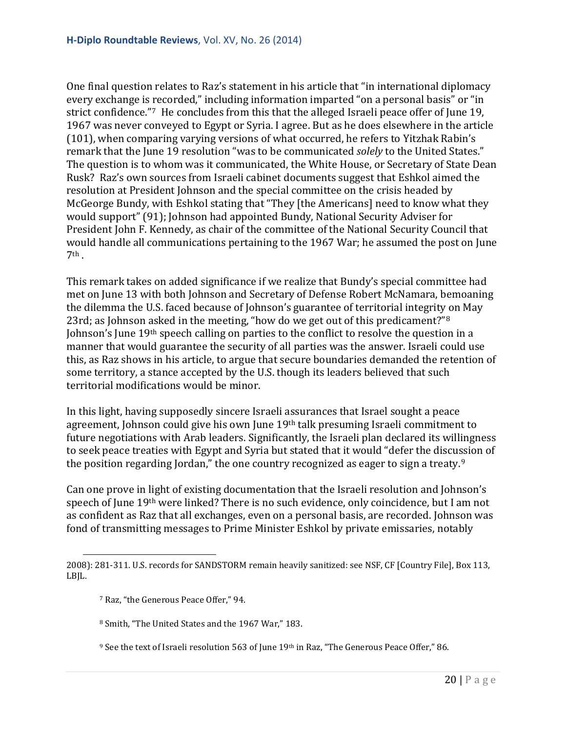One final question relates to Raz's statement in his article that "in international diplomacy every exchange is recorded," including information imparted "on a personal basis" or "in strict confidence."<sup>[7](#page-19-0)</sup> He concludes from this that the alleged Israeli peace offer of June 19, 1967 was never conveyed to Egypt or Syria. I agree. But as he does elsewhere in the article (101), when comparing varying versions of what occurred, he refers to Yitzhak Rabin's remark that the June 19 resolution "was to be communicated *solely* to the United States." The question is to whom was it communicated, the White House, or Secretary of State Dean Rusk? Raz's own sources from Israeli cabinet documents suggest that Eshkol aimed the resolution at President Johnson and the special committee on the crisis headed by McGeorge Bundy, with Eshkol stating that "They [the Americans] need to know what they would support" (91); Johnson had appointed Bundy, National Security Adviser for President John F. Kennedy, as chair of the committee of the National Security Council that would handle all communications pertaining to the 1967 War; he assumed the post on June  $7<sup>th</sup>$ .

This remark takes on added significance if we realize that Bundy's special committee had met on June 13 with both Johnson and Secretary of Defense Robert McNamara, bemoaning the dilemma the U.S. faced because of Johnson's guarantee of territorial integrity on May 23rd; as Johnson asked in the meeting, "how do we get out of this predicament?"<sup>[8](#page-19-1)</sup> Johnson's June 19th speech calling on parties to the conflict to resolve the question in a manner that would guarantee the security of all parties was the answer. Israeli could use this, as Raz shows in his article, to argue that secure boundaries demanded the retention of some territory, a stance accepted by the U.S. though its leaders believed that such territorial modifications would be minor.

In this light, having supposedly sincere Israeli assurances that Israel sought a peace agreement, Johnson could give his own June 19th talk presuming Israeli commitment to future negotiations with Arab leaders. Significantly, the Israeli plan declared its willingness to seek peace treaties with Egypt and Syria but stated that it would "defer the discussion of the position regarding Jordan," the one country recognized as eager to sign a treaty.<sup>[9](#page-19-2)</sup>

Can one prove in light of existing documentation that the Israeli resolution and Johnson's speech of June 19th were linked? There is no such evidence, only coincidence, but I am not as confident as Raz that all exchanges, even on a personal basis, are recorded. Johnson was fond of transmitting messages to Prime Minister Eshkol by private emissaries, notably

<span id="page-19-1"></span><span id="page-19-0"></span><sup>2008): 281-311.</sup> U.S. records for SANDSTORM remain heavily sanitized: see NSF, CF [Country File], Box 113, LBJL. i<br>I

<sup>7</sup> Raz, "the Generous Peace Offer," 94.

<sup>8</sup> Smith, "The United States and the 1967 War," 183.

<span id="page-19-2"></span><sup>&</sup>lt;sup>9</sup> See the text of Israeli resolution 563 of June 19<sup>th</sup> in Raz, "The Generous Peace Offer," 86.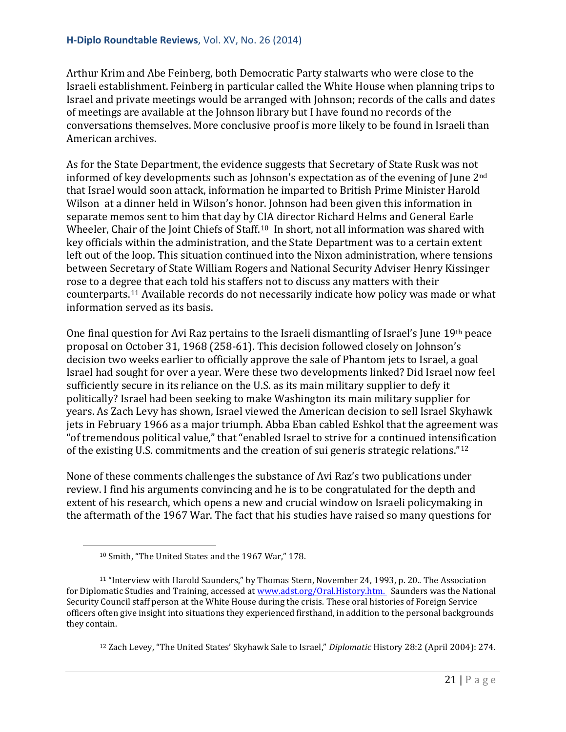Arthur Krim and Abe Feinberg, both Democratic Party stalwarts who were close to the Israeli establishment. Feinberg in particular called the White House when planning trips to Israel and private meetings would be arranged with Johnson; records of the calls and dates of meetings are available at the Johnson library but I have found no records of the conversations themselves. More conclusive proof is more likely to be found in Israeli than American archives.

As for the State Department, the evidence suggests that Secretary of State Rusk was not informed of key developments such as Johnson's expectation as of the evening of June 2<sup>nd</sup> that Israel would soon attack, information he imparted to British Prime Minister Harold Wilson at a dinner held in Wilson's honor. Johnson had been given this information in separate memos sent to him that day by CIA director Richard Helms and General Earle Wheeler, Chair of the Joint Chiefs of Staff.<sup>[10](#page-20-0)</sup> In short, not all information was shared with key officials within the administration, and the State Department was to a certain extent left out of the loop. This situation continued into the Nixon administration, where tensions between Secretary of State William Rogers and National Security Adviser Henry Kissinger rose to a degree that each told his staffers not to discuss any matters with their counterparts.[11](#page-20-1) Available records do not necessarily indicate how policy was made or what information served as its basis.

One final question for Avi Raz pertains to the Israeli dismantling of Israel's June 19th peace proposal on October 31, 1968 (258-61). This decision followed closely on Johnson's decision two weeks earlier to officially approve the sale of Phantom jets to Israel, a goal Israel had sought for over a year. Were these two developments linked? Did Israel now feel sufficiently secure in its reliance on the U.S. as its main military supplier to defy it politically? Israel had been seeking to make Washington its main military supplier for years. As Zach Levy has shown, Israel viewed the American decision to sell Israel Skyhawk jets in February 1966 as a major triumph. Abba Eban cabled Eshkol that the agreement was "of tremendous political value," that "enabled Israel to strive for a continued intensification of the existing U.S. commitments and the creation of sui generis strategic relations.["12](#page-20-2)

None of these comments challenges the substance of Avi Raz's two publications under review. I find his arguments convincing and he is to be congratulated for the depth and extent of his research, which opens a new and crucial window on Israeli policymaking in the aftermath of the 1967 War. The fact that his studies have raised so many questions for

i<br>I

<sup>12</sup> Zach Levey, "The United States' Skyhawk Sale to Israel," *Diplomatic* History 28:2 (April 2004): 274.

<sup>10</sup> Smith, "The United States and the 1967 War," 178.

<span id="page-20-2"></span><span id="page-20-1"></span><span id="page-20-0"></span><sup>11</sup> "Interview with Harold Saunders," by Thomas Stern, November 24, 1993, p. 20.. The Association for Diplomatic Studies and Training, accessed a[t www.adst.org/Oral.History.htm.](http://www.adst.org/Oral.History.htm.) Saunders was the National Security Council staff person at the White House during the crisis. These oral histories of Foreign Service officers often give insight into situations they experienced firsthand, in addition to the personal backgrounds they contain.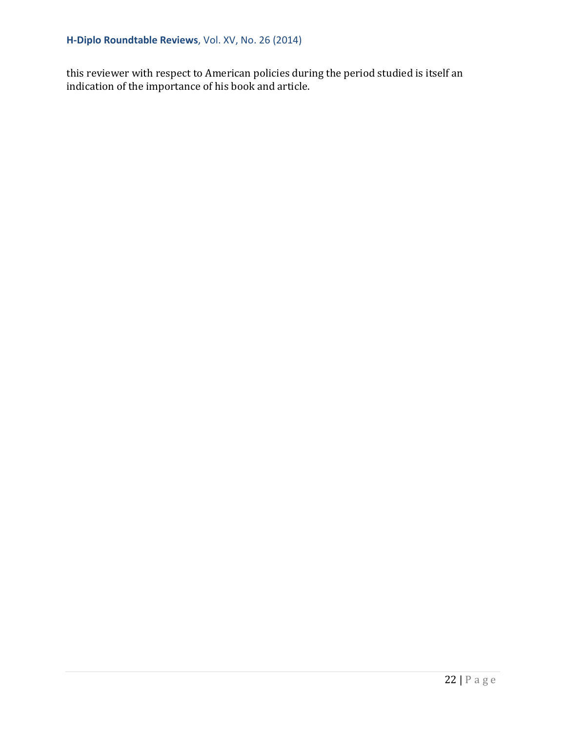this reviewer with respect to American policies during the period studied is itself an indication of the importance of his book and article.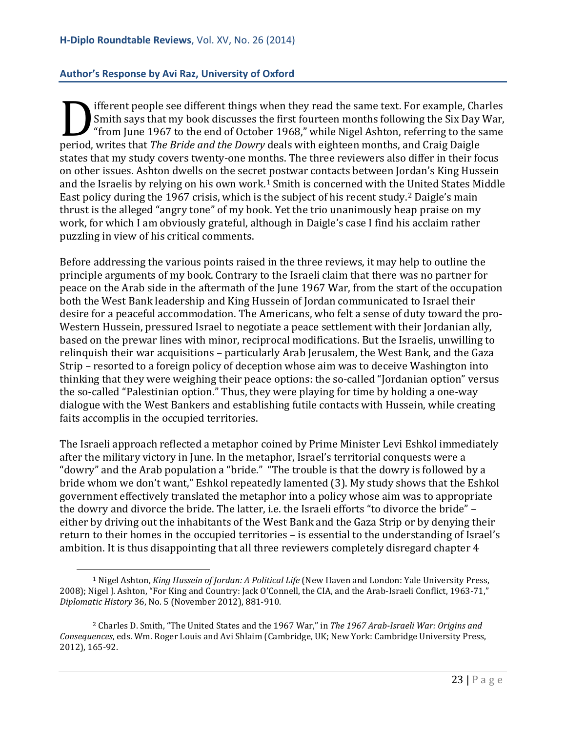#### <span id="page-22-0"></span>**Author's Response by Avi Raz, University of Oxford**

ifferent people see different things when they read the same text. For example, Charles Smith says that my book discusses the first fourteen months following the Six Day War, "from June 1967 to the end of October 1968," while Nigel Ashton, referring to the same Smith says that *my book discusses the first fourteen months following the Six Day*<br>
"from June 1967 to the end of October 1968," while Nigel Ashton, referring to the speriod, writes that *The Bride and the Dowry* deals wi states that my study covers twenty-one months. The three reviewers also differ in their focus on other issues. Ashton dwells on the secret postwar contacts between Jordan's King Hussein and the Israelis by relying on his own work.[1](#page-22-1) Smith is concerned with the United States Middle East policy during the 1967 crisis, which is the subject of his recent study.<sup>[2](#page-22-2)</sup> Daigle's main thrust is the alleged "angry tone" of my book. Yet the trio unanimously heap praise on my work, for which I am obviously grateful, although in Daigle's case I find his acclaim rather puzzling in view of his critical comments.

Before addressing the various points raised in the three reviews, it may help to outline the principle arguments of my book. Contrary to the Israeli claim that there was no partner for peace on the Arab side in the aftermath of the June 1967 War, from the start of the occupation both the West Bank leadership and King Hussein of Jordan communicated to Israel their desire for a peaceful accommodation. The Americans, who felt a sense of duty toward the pro-Western Hussein, pressured Israel to negotiate a peace settlement with their Jordanian ally, based on the prewar lines with minor, reciprocal modifications. But the Israelis, unwilling to relinquish their war acquisitions – particularly Arab Jerusalem, the West Bank, and the Gaza Strip – resorted to a foreign policy of deception whose aim was to deceive Washington into thinking that they were weighing their peace options: the so-called "Jordanian option" versus the so-called "Palestinian option." Thus, they were playing for time by holding a one-way dialogue with the West Bankers and establishing futile contacts with Hussein, while creating faits accomplis in the occupied territories.

The Israeli approach reflected a metaphor coined by Prime Minister Levi Eshkol immediately after the military victory in June. In the metaphor, Israel's territorial conquests were a "dowry" and the Arab population a "bride." "The trouble is that the dowry is followed by a bride whom we don't want," Eshkol repeatedly lamented (3). My study shows that the Eshkol government effectively translated the metaphor into a policy whose aim was to appropriate the dowry and divorce the bride. The latter, i.e. the Israeli efforts "to divorce the bride" – either by driving out the inhabitants of the West Bank and the Gaza Strip or by denying their return to their homes in the occupied territories – is essential to the understanding of Israel's ambition. It is thus disappointing that all three reviewers completely disregard chapter 4

<span id="page-22-1"></span><sup>1</sup> Nigel Ashton, *King Hussein of Jordan: A Political Life* (New Haven and London: Yale University Press, 2008); Nigel J. Ashton, "For King and Country: Jack O'Connell, the CIA, and the Arab-Israeli Conflict, 1963-71," *Diplomatic History* 36, No. 5 (November 2012), 881-910. i<br>I

<span id="page-22-2"></span><sup>2</sup> Charles D. Smith, "The United States and the 1967 War," in *The 1967 Arab-Israeli War: Origins and Consequences*, eds. Wm. Roger Louis and Avi Shlaim (Cambridge, UK; New York: Cambridge University Press, 2012), 165-92.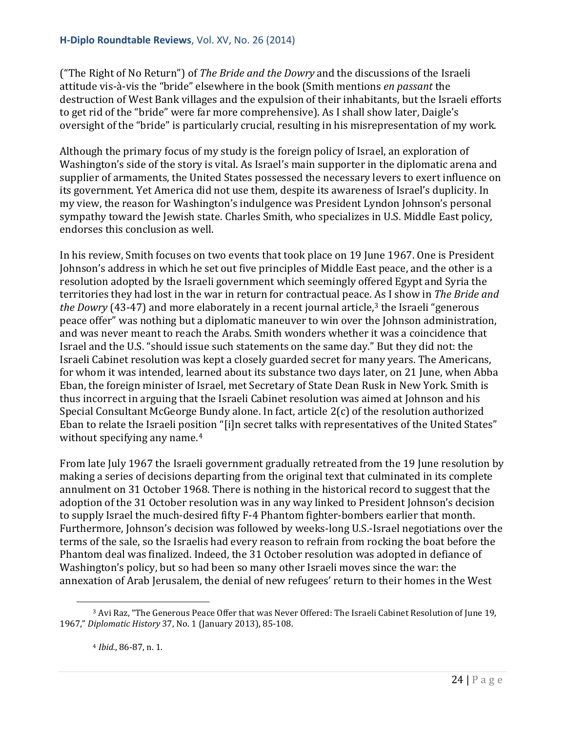("The Right of No Return") of *The Bride and the Dowry* and the discussions of the Israeli attitude vis-à-vis the "bride" elsewhere in the book (Smith mentions *en passant* the destruction of West Bank villages and the expulsion of their inhabitants, but the Israeli efforts to get rid of the "bride" were far more comprehensive). As I shall show later, Daigle's oversight of the "bride" is particularly crucial, resulting in his misrepresentation of my work.

Although the primary focus of my study is the foreign policy of Israel, an exploration of Washington's side of the story is vital. As Israel's main supporter in the diplomatic arena and supplier of armaments, the United States possessed the necessary levers to exert influence on its government. Yet America did not use them, despite its awareness of Israel's duplicity. In my view, the reason for Washington's indulgence was President Lyndon Johnson's personal sympathy toward the Jewish state. Charles Smith, who specializes in U.S. Middle East policy, endorses this conclusion as well.

In his review, Smith focuses on two events that took place on 19 June 1967. One is President Johnson's address in which he set out five principles of Middle East peace, and the other is a resolution adopted by the Israeli government which seemingly offered Egypt and Syria the territories they had lost in the war in return for contractual peace. As I show in *The Bride and the Dowry* (4[3](#page-23-0)-47) and more elaborately in a recent journal article,<sup>3</sup> the Israeli "generous peace offer" was nothing but a diplomatic maneuver to win over the Johnson administration, and was never meant to reach the Arabs. Smith wonders whether it was a coincidence that Israel and the U.S. "should issue such statements on the same day." But they did not: the Israeli Cabinet resolution was kept a closely guarded secret for many years. The Americans, for whom it was intended, learned about its substance two days later, on 21 June, when Abba Eban, the foreign minister of Israel, met Secretary of State Dean Rusk in New York. Smith is thus incorrect in arguing that the Israeli Cabinet resolution was aimed at Johnson and his Special Consultant McGeorge Bundy alone. In fact, article 2(c) of the resolution authorized Eban to relate the Israeli position "[i]n secret talks with representatives of the United States" without specifying any name.<sup>[4](#page-23-1)</sup>

From late July 1967 the Israeli government gradually retreated from the 19 June resolution by making a series of decisions departing from the original text that culminated in its complete annulment on 31 October 1968. There is nothing in the historical record to suggest that the adoption of the 31 October resolution was in any way linked to President Johnson's decision to supply Israel the much-desired fifty F-4 Phantom fighter-bombers earlier that month. Furthermore, Johnson's decision was followed by weeks-long U.S.-Israel negotiations over the terms of the sale, so the Israelis had every reason to refrain from rocking the boat before the Phantom deal was finalized. Indeed, the 31 October resolution was adopted in defiance of Washington's policy, but so had been so many other Israeli moves since the war: the annexation of Arab Jerusalem, the denial of new refugees' return to their homes in the West

<span id="page-23-1"></span><span id="page-23-0"></span><sup>3</sup> Avi Raz, "The Generous Peace Offer that was Never Offered: The Israeli Cabinet Resolution of June 19, 1967," *Diplomatic History* 37, No. 1 (January 2013), 85-108. i<br>I

<sup>4</sup> *Ibid.*, 86-87, n. 1.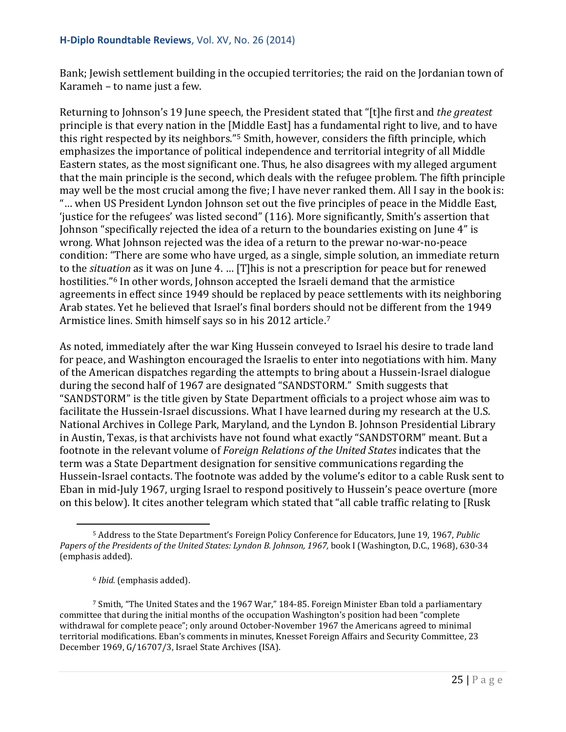#### **H-Diplo Roundtable Reviews**, Vol. XV, No. 26 (2014)

Bank; Jewish settlement building in the occupied territories; the raid on the Jordanian town of Karameh – to name just a few.

Returning to Johnson's 19 June speech, the President stated that "[t]he first and *the greatest* principle is that every nation in the [Middle East] has a fundamental right to live, and to have this right respected by its neighbors."[5](#page-24-0) Smith, however, considers the fifth principle, which emphasizes the importance of political independence and territorial integrity of all Middle Eastern states, as the most significant one. Thus, he also disagrees with my alleged argument that the main principle is the second, which deals with the refugee problem. The fifth principle may well be the most crucial among the five; I have never ranked them. All I say in the book is: "… when US President Lyndon Johnson set out the five principles of peace in the Middle East, 'justice for the refugees' was listed second" (116). More significantly, Smith's assertion that Johnson "specifically rejected the idea of a return to the boundaries existing on June 4" is wrong. What Johnson rejected was the idea of a return to the prewar no-war-no-peace condition: "There are some who have urged, as a single, simple solution, an immediate return to the *situation* as it was on June 4. … [T]his is not a prescription for peace but for renewed hostilities."<sup>[6](#page-24-1)</sup> In other words, Johnson accepted the Israeli demand that the armistice agreements in effect since 1949 should be replaced by peace settlements with its neighboring Arab states. Yet he believed that Israel's final borders should not be different from the 1949 Armistice lines. Smith himself says so in his 2012 article.[7](#page-24-2)

As noted, immediately after the war King Hussein conveyed to Israel his desire to trade land for peace, and Washington encouraged the Israelis to enter into negotiations with him. Many of the American dispatches regarding the attempts to bring about a Hussein-Israel dialogue during the second half of 1967 are designated "SANDSTORM." Smith suggests that "SANDSTORM" is the title given by State Department officials to a project whose aim was to facilitate the Hussein-Israel discussions. What I have learned during my research at the U.S. National Archives in College Park, Maryland, and the Lyndon B. Johnson Presidential Library in Austin, Texas, is that archivists have not found what exactly "SANDSTORM" meant. But a footnote in the relevant volume of *Foreign Relations of the United States* indicates that the term was a State Department designation for sensitive communications regarding the Hussein-Israel contacts. The footnote was added by the volume's editor to a cable Rusk sent to Eban in mid-July 1967, urging Israel to respond positively to Hussein's peace overture (more on this below). It cites another telegram which stated that "all cable traffic relating to [Rusk

<span id="page-24-0"></span><sup>5</sup> Address to the State Department's Foreign Policy Conference for Educators, June 19, 1967, *Public*  Papers of the Presidents of the United States: Lyndon B. Johnson, 1967, book I (Washington, D.C., 1968), 630-34 (emphasis added). i<br>I

<sup>6</sup> *Ibid.* (emphasis added).

<span id="page-24-2"></span><span id="page-24-1"></span><sup>7</sup> Smith, "The United States and the 1967 War," 184-85. Foreign Minister Eban told a parliamentary committee that during the initial months of the occupation Washington's position had been "complete withdrawal for complete peace"; only around October-November 1967 the Americans agreed to minimal territorial modifications. Eban's comments in minutes, Knesset Foreign Affairs and Security Committee, 23 December 1969, G/16707/3, Israel State Archives (ISA).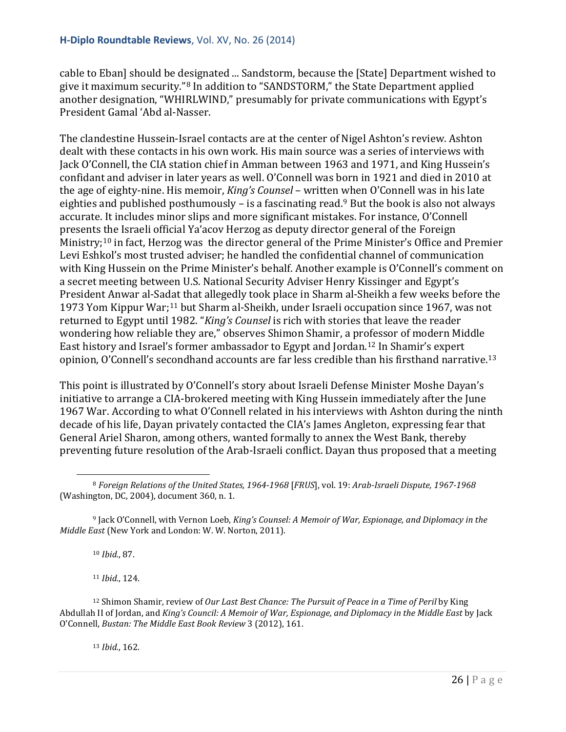cable to Eban] should be designated ... Sandstorm, because the [State] Department wished to give it maximum security."[8](#page-25-0) In addition to "SANDSTORM," the State Department applied another designation, "WHIRLWIND," presumably for private communications with Egypt's President Gamal 'Abd al-Nasser.

The clandestine Hussein-Israel contacts are at the center of Nigel Ashton's review. Ashton dealt with these contacts in his own work. His main source was a series of interviews with Jack O'Connell, the CIA station chief in Amman between 1963 and 1971, and King Hussein's confidant and adviser in later years as well. O'Connell was born in 1921 and died in 2010 at the age of eighty-nine. His memoir, *King's Counsel* – written when O'Connell was in his late eighties and published posthumously – is a fascinating read.<sup>[9](#page-25-1)</sup> But the book is also not always accurate. It includes minor slips and more significant mistakes. For instance, O'Connell presents the Israeli official Ya'acov Herzog as deputy director general of the Foreign Ministry;<sup>[10](#page-25-2)</sup> in fact, Herzog was the director general of the Prime Minister's Office and Premier Levi Eshkol's most trusted adviser; he handled the confidential channel of communication with King Hussein on the Prime Minister's behalf. Another example is O'Connell's comment on a secret meeting between U.S. National Security Adviser Henry Kissinger and Egypt's President Anwar al-Sadat that allegedly took place in Sharm al-Sheikh a few weeks before the 1973 Yom Kippur War;[11](#page-25-3) but Sharm al-Sheikh, under Israeli occupation since 1967, was not returned to Egypt until 1982. "*King's Counsel* is rich with stories that leave the reader wondering how reliable they are," observes Shimon Shamir, a professor of modern Middle East history and Israel's former ambassador to Egypt and Jordan.[12](#page-25-4) In Shamir's expert opinion, O'Connell's secondhand accounts are far less credible than his firsthand narrative. [13](#page-25-5)

This point is illustrated by O'Connell's story about Israeli Defense Minister Moshe Dayan's initiative to arrange a CIA-brokered meeting with King Hussein immediately after the June 1967 War. According to what O'Connell related in his interviews with Ashton during the ninth decade of his life, Dayan privately contacted the CIA's James Angleton, expressing fear that General Ariel Sharon, among others, wanted formally to annex the West Bank, thereby preventing future resolution of the Arab-Israeli conflict. Dayan thus proposed that a meeting

<sup>10</sup> *Ibid.*, 87.

<sup>11</sup> *Ibid.*, 124.

<span id="page-25-5"></span><span id="page-25-4"></span><span id="page-25-3"></span><sup>12</sup> Shimon Shamir, review of *Our Last Best Chance: The Pursuit of Peace in a Time of Peril* by King Abdullah II of Jordan, and *King's Council: A Memoir of War, Espionage, and Diplomacy in the Middle East* by Jack O'Connell, *Bustan: The Middle East Book Review* 3 (2012), 161.

<sup>13</sup> *Ibid.*, 162.

<span id="page-25-0"></span><sup>8</sup> *Foreign Relations of the United States, 1964-1968* [*FRUS*], vol. 19: *Arab-Israeli Dispute, 1967-1968* (Washington, DC, 2004), document 360, n. 1. i<br>I

<span id="page-25-2"></span><span id="page-25-1"></span><sup>9</sup> Jack O'Connell, with Vernon Loeb, *King's Counsel: A Memoir of War, Espionage, and Diplomacy in the Middle East* (New York and London: W. W. Norton, 2011).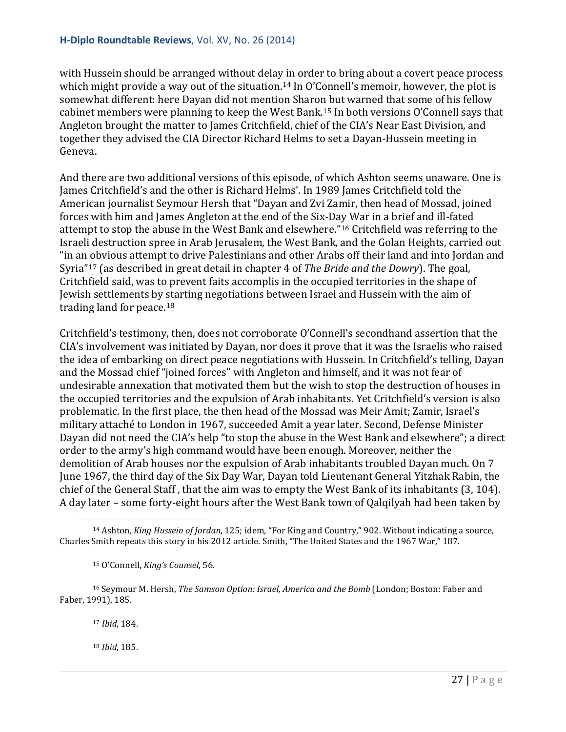with Hussein should be arranged without delay in order to bring about a covert peace process which might provide a way out of the situation.<sup>[14](#page-26-0)</sup> In O'Connell's memoir, however, the plot is somewhat different: here Dayan did not mention Sharon but warned that some of his fellow cabinet members were planning to keep the West Bank.[15](#page-26-1) In both versions O'Connell says that Angleton brought the matter to James Critchfield, chief of the CIA's Near East Division, and together they advised the CIA Director Richard Helms to set a Dayan-Hussein meeting in Geneva.

And there are two additional versions of this episode, of which Ashton seems unaware. One is James Critchfield's and the other is Richard Helms'. In 1989 James Critchfield told the American journalist Seymour Hersh that "Dayan and Zvi Zamir, then head of Mossad, joined forces with him and James Angleton at the end of the Six-Day War in a brief and ill-fated attempt to stop the abuse in the West Bank and elsewhere."[16](#page-26-2) Critchfield was referring to the Israeli destruction spree in Arab Jerusalem, the West Bank, and the Golan Heights, carried out "in an obvious attempt to drive Palestinians and other Arabs off their land and into Jordan and Syria"[17](#page-26-3) (as described in great detail in chapter 4 of *The Bride and the Dowry*). The goal, Critchfield said, was to prevent faits accomplis in the occupied territories in the shape of Jewish settlements by starting negotiations between Israel and Hussein with the aim of trading land for peace.[18](#page-26-4)

Critchfield's testimony, then, does not corroborate O'Connell's secondhand assertion that the CIA's involvement was initiated by Dayan, nor does it prove that it was the Israelis who raised the idea of embarking on direct peace negotiations with Hussein. In Critchfield's telling, Dayan and the Mossad chief "joined forces" with Angleton and himself, and it was not fear of undesirable annexation that motivated them but the wish to stop the destruction of houses in the occupied territories and the expulsion of Arab inhabitants. Yet Critchfield's version is also problematic. In the first place, the then head of the Mossad was Meir Amit; Zamir, Israel's military attaché to London in 1967, succeeded Amit a year later. Second, Defense Minister Dayan did not need the CIA's help "to stop the abuse in the West Bank and elsewhere"; a direct order to the army's high command would have been enough. Moreover, neither the demolition of Arab houses nor the expulsion of Arab inhabitants troubled Dayan much. On 7 June 1967, the third day of the Six Day War, Dayan told Lieutenant General Yitzhak Rabin, the chief of the General Staff , that the aim was to empty the West Bank of its inhabitants (3, 104). A day later – some forty-eight hours after the West Bank town of Qalqilyah had been taken by

<sup>17</sup> *Ibid*, 184.

<sup>18</sup> *Ibid*, 185.

<span id="page-26-0"></span><sup>14</sup> Ashton, *King Hussein of Jordan*, 125; idem, "For King and Country," 902. Without indicating a source, Charles Smith repeats this story in his 2012 article. Smith, "The United States and the 1967 War," 187. i<br>I

<sup>15</sup> O'Connell, *King's Counsel*, 56.

<span id="page-26-4"></span><span id="page-26-3"></span><span id="page-26-2"></span><span id="page-26-1"></span><sup>16</sup> Seymour M. Hersh, *The Samson Option: Israel, America and the Bomb* (London; Boston: Faber and Faber, 1991), 185.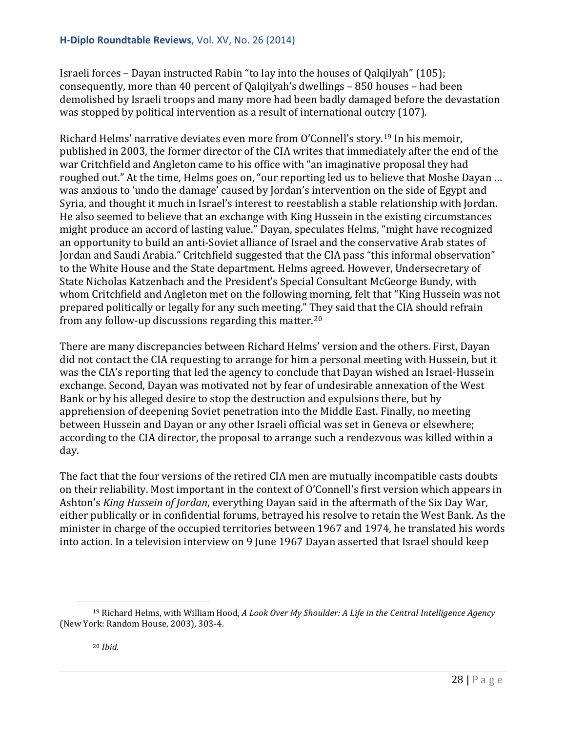Israeli forces – Dayan instructed Rabin "to lay into the houses of Qalqilyah" (105); consequently, more than 40 percent of Qalqilyah's dwellings – 850 houses – had been demolished by Israeli troops and many more had been badly damaged before the devastation was stopped by political intervention as a result of international outcry (107).

Richard Helms' narrative deviates even more from O'Connell's story.[19](#page-27-0) In his memoir, published in 2003, the former director of the CIA writes that immediately after the end of the war Critchfield and Angleton came to his office with "an imaginative proposal they had roughed out." At the time, Helms goes on, "our reporting led us to believe that Moshe Dayan … was anxious to 'undo the damage' caused by Jordan's intervention on the side of Egypt and Syria, and thought it much in Israel's interest to reestablish a stable relationship with Jordan. He also seemed to believe that an exchange with King Hussein in the existing circumstances might produce an accord of lasting value." Dayan, speculates Helms, "might have recognized an opportunity to build an anti-Soviet alliance of Israel and the conservative Arab states of Jordan and Saudi Arabia." Critchfield suggested that the CIA pass "this informal observation" to the White House and the State department. Helms agreed. However, Undersecretary of State Nicholas Katzenbach and the President's Special Consultant McGeorge Bundy, with whom Critchfield and Angleton met on the following morning, felt that "King Hussein was not prepared politically or legally for any such meeting." They said that the CIA should refrain from any follow-up discussions regarding this matter.[20](#page-27-1)

There are many discrepancies between Richard Helms' version and the others. First, Dayan did not contact the CIA requesting to arrange for him a personal meeting with Hussein, but it was the CIA's reporting that led the agency to conclude that Dayan wished an Israel-Hussein exchange. Second, Dayan was motivated not by fear of undesirable annexation of the West Bank or by his alleged desire to stop the destruction and expulsions there, but by apprehension of deepening Soviet penetration into the Middle East. Finally, no meeting between Hussein and Dayan or any other Israeli official was set in Geneva or elsewhere; according to the CIA director, the proposal to arrange such a rendezvous was killed within a day.

The fact that the four versions of the retired CIA men are mutually incompatible casts doubts on their reliability. Most important in the context of O'Connell's first version which appears in Ashton's *King Hussein of Jordan*, everything Dayan said in the aftermath of the Six Day War, either publically or in confidential forums, betrayed his resolve to retain the West Bank. As the minister in charge of the occupied territories between 1967 and 1974, he translated his words into action. In a television interview on 9 June 1967 Dayan asserted that Israel should keep

<span id="page-27-1"></span><span id="page-27-0"></span><sup>19</sup> Richard Helms, with William Hood, *A Look Over My Shoulder: A Life in the Central Intelligence Agency* (New York: Random House, 2003), 303-4. i<br>I

<sup>20</sup> *Ibid*.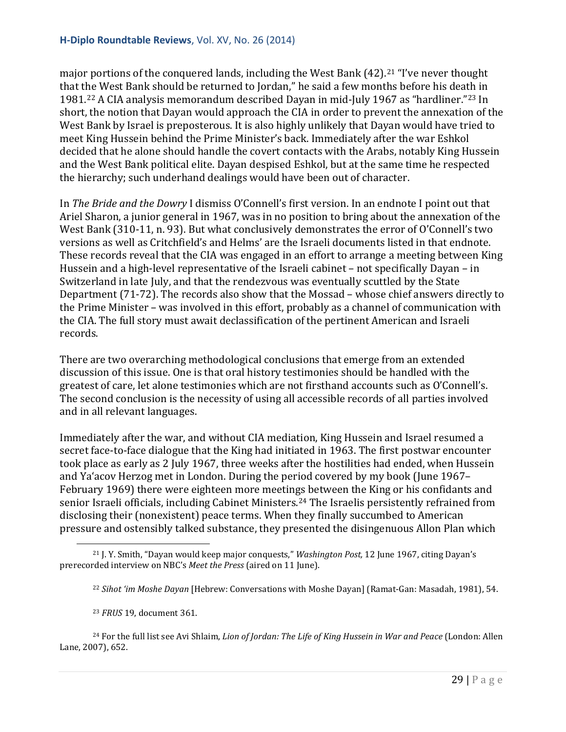#### **H-Diplo Roundtable Reviews**, Vol. XV, No. 26 (2014)

major portions of the conquered lands, including the West Bank (42).<sup>[21](#page-28-0)</sup> "I've never thought that the West Bank should be returned to Jordan," he said a few months before his death in 1981.[22](#page-28-1) A CIA analysis memorandum described Dayan in mid-July 1967 as "hardliner."[23](#page-28-2) In short, the notion that Dayan would approach the CIA in order to prevent the annexation of the West Bank by Israel is preposterous. It is also highly unlikely that Dayan would have tried to meet King Hussein behind the Prime Minister's back. Immediately after the war Eshkol decided that he alone should handle the covert contacts with the Arabs, notably King Hussein and the West Bank political elite. Dayan despised Eshkol, but at the same time he respected the hierarchy; such underhand dealings would have been out of character.

In *The Bride and the Dowry* I dismiss O'Connell's first version. In an endnote I point out that Ariel Sharon, a junior general in 1967, was in no position to bring about the annexation of the West Bank (310-11, n. 93). But what conclusively demonstrates the error of O'Connell's two versions as well as Critchfield's and Helms' are the Israeli documents listed in that endnote. These records reveal that the CIA was engaged in an effort to arrange a meeting between King Hussein and a high-level representative of the Israeli cabinet – not specifically Dayan – in Switzerland in late July, and that the rendezvous was eventually scuttled by the State Department (71-72). The records also show that the Mossad – whose chief answers directly to the Prime Minister – was involved in this effort, probably as a channel of communication with the CIA. The full story must await declassification of the pertinent American and Israeli records.

There are two overarching methodological conclusions that emerge from an extended discussion of this issue. One is that oral history testimonies should be handled with the greatest of care, let alone testimonies which are not firsthand accounts such as O'Connell's. The second conclusion is the necessity of using all accessible records of all parties involved and in all relevant languages.

Immediately after the war, and without CIA mediation, King Hussein and Israel resumed a secret face-to-face dialogue that the King had initiated in 1963. The first postwar encounter took place as early as 2 July 1967, three weeks after the hostilities had ended, when Hussein and Ya'acov Herzog met in London. During the period covered by my book (June 1967– February 1969) there were eighteen more meetings between the King or his confidants and senior Israeli officials, including Cabinet Ministers.<sup>[24](#page-28-3)</sup> The Israelis persistently refrained from disclosing their (nonexistent) peace terms. When they finally succumbed to American pressure and ostensibly talked substance, they presented the disingenuous Allon Plan which

<span id="page-28-0"></span><sup>21</sup> J. Y. Smith, "Dayan would keep major conquests," *Washington Post,* 12 June 1967, citing Dayan's prerecorded interview on NBC's *Meet the Press* (aired on 11 June). i<br>I

<sup>22</sup> *Sihot 'im Moshe Dayan* [Hebrew: Conversations with Moshe Dayan] (Ramat-Gan: Masadah, 1981), 54.

<sup>23</sup> *FRUS* 19, document 361.

<span id="page-28-3"></span><span id="page-28-2"></span><span id="page-28-1"></span><sup>24</sup> For the full list see Avi Shlaim, *Lion of Jordan: The Life of King Hussein in War and Peace* (London: Allen Lane, 2007), 652.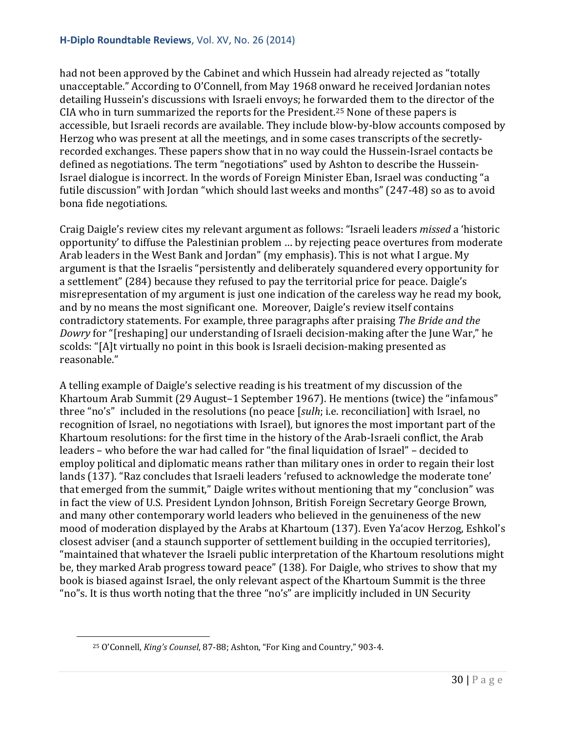had not been approved by the Cabinet and which Hussein had already rejected as "totally unacceptable." According to O'Connell, from May 1968 onward he received Jordanian notes detailing Hussein's discussions with Israeli envoys; he forwarded them to the director of the CIA who in turn summarized the reports for the President.[25](#page-29-0) None of these papers is accessible, but Israeli records are available. They include blow-by-blow accounts composed by Herzog who was present at all the meetings, and in some cases transcripts of the secretlyrecorded exchanges. These papers show that in no way could the Hussein-Israel contacts be defined as negotiations. The term "negotiations" used by Ashton to describe the Hussein-Israel dialogue is incorrect. In the words of Foreign Minister Eban, Israel was conducting "a futile discussion" with Jordan "which should last weeks and months" (247-48) so as to avoid bona fide negotiations.

Craig Daigle's review cites my relevant argument as follows: "Israeli leaders *missed* a 'historic opportunity' to diffuse the Palestinian problem … by rejecting peace overtures from moderate Arab leaders in the West Bank and Jordan" (my emphasis). This is not what I argue. My argument is that the Israelis "persistently and deliberately squandered every opportunity for a settlement" (284) because they refused to pay the territorial price for peace. Daigle's misrepresentation of my argument is just one indication of the careless way he read my book, and by no means the most significant one. Moreover, Daigle's review itself contains contradictory statements. For example, three paragraphs after praising *The Bride and the Dowry* for "[reshaping] our understanding of Israeli decision-making after the June War," he scolds: "[A]t virtually no point in this book is Israeli decision-making presented as reasonable."

A telling example of Daigle's selective reading is his treatment of my discussion of the Khartoum Arab Summit (29 August–1 September 1967). He mentions (twice) the "infamous" three "no's" included in the resolutions (no peace [*sulh*; i.e. reconciliation] with Israel, no recognition of Israel, no negotiations with Israel), but ignores the most important part of the Khartoum resolutions: for the first time in the history of the Arab-Israeli conflict, the Arab leaders – who before the war had called for "the final liquidation of Israel" – decided to employ political and diplomatic means rather than military ones in order to regain their lost lands (137). "Raz concludes that Israeli leaders 'refused to acknowledge the moderate tone' that emerged from the summit," Daigle writes without mentioning that my "conclusion" was in fact the view of U.S. President Lyndon Johnson, British Foreign Secretary George Brown, and many other contemporary world leaders who believed in the genuineness of the new mood of moderation displayed by the Arabs at Khartoum (137). Even Ya'acov Herzog, Eshkol's closest adviser (and a staunch supporter of settlement building in the occupied territories), "maintained that whatever the Israeli public interpretation of the Khartoum resolutions might be, they marked Arab progress toward peace" (138). For Daigle, who strives to show that my book is biased against Israel, the only relevant aspect of the Khartoum Summit is the three "no"s. It is thus worth noting that the three "no's" are implicitly included in UN Security

<span id="page-29-0"></span>i<br>I

<sup>25</sup> O'Connell, *King's Counsel*, 87-88; Ashton, "For King and Country," 903-4.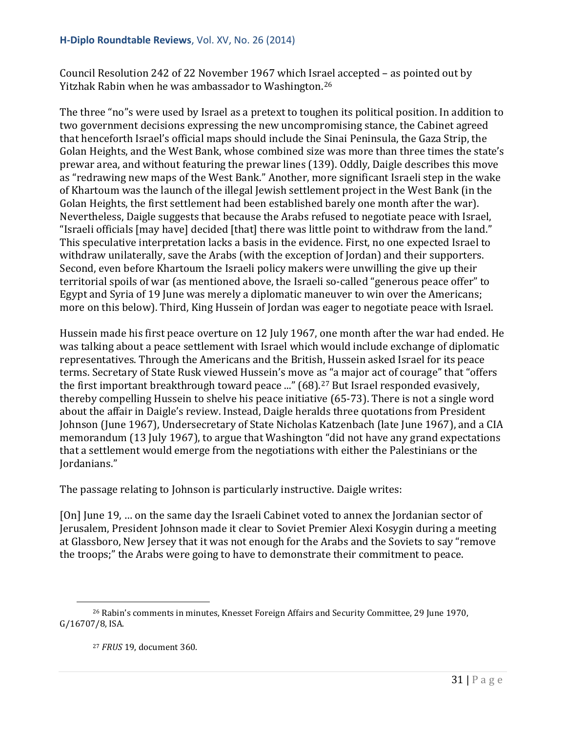Council Resolution 242 of 22 November 1967 which Israel accepted – as pointed out by Yitzhak Rabin when he was ambassador to Washington.[26](#page-30-0)

The three "no"s were used by Israel as a pretext to toughen its political position. In addition to two government decisions expressing the new uncompromising stance, the Cabinet agreed that henceforth Israel's official maps should include the Sinai Peninsula, the Gaza Strip, the Golan Heights, and the West Bank, whose combined size was more than three times the state's prewar area, and without featuring the prewar lines (139). Oddly, Daigle describes this move as "redrawing new maps of the West Bank." Another, more significant Israeli step in the wake of Khartoum was the launch of the illegal Jewish settlement project in the West Bank (in the Golan Heights, the first settlement had been established barely one month after the war). Nevertheless, Daigle suggests that because the Arabs refused to negotiate peace with Israel, "Israeli officials [may have] decided [that] there was little point to withdraw from the land." This speculative interpretation lacks a basis in the evidence. First, no one expected Israel to withdraw unilaterally, save the Arabs (with the exception of Jordan) and their supporters. Second, even before Khartoum the Israeli policy makers were unwilling the give up their territorial spoils of war (as mentioned above, the Israeli so-called "generous peace offer" to Egypt and Syria of 19 June was merely a diplomatic maneuver to win over the Americans; more on this below). Third, King Hussein of Jordan was eager to negotiate peace with Israel.

Hussein made his first peace overture on 12 July 1967, one month after the war had ended. He was talking about a peace settlement with Israel which would include exchange of diplomatic representatives. Through the Americans and the British, Hussein asked Israel for its peace terms. Secretary of State Rusk viewed Hussein's move as "a major act of courage" that "offers the first important breakthrough toward peace ..." (68).<sup>[27](#page-30-1)</sup> But Israel responded evasively, thereby compelling Hussein to shelve his peace initiative (65-73). There is not a single word about the affair in Daigle's review. Instead, Daigle heralds three quotations from President Johnson (June 1967), Undersecretary of State Nicholas Katzenbach (late June 1967), and a CIA memorandum (13 July 1967), to argue that Washington "did not have any grand expectations that a settlement would emerge from the negotiations with either the Palestinians or the Jordanians."

The passage relating to Johnson is particularly instructive. Daigle writes:

[On] June 19, … on the same day the Israeli Cabinet voted to annex the Jordanian sector of Jerusalem, President Johnson made it clear to Soviet Premier Alexi Kosygin during a meeting at Glassboro, New Jersey that it was not enough for the Arabs and the Soviets to say "remove the troops;" the Arabs were going to have to demonstrate their commitment to peace.

<span id="page-30-1"></span><span id="page-30-0"></span><sup>26</sup> Rabin's comments in minutes, Knesset Foreign Affairs and Security Committee, 29 June 1970, G/16707/8, ISA. i<br>I

<sup>27</sup> *FRUS* 19, document 360.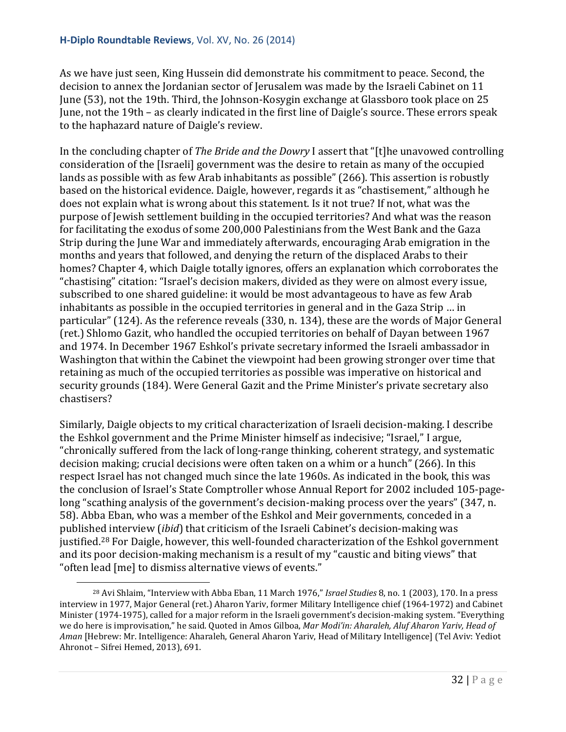#### **H-Diplo Roundtable Reviews**, Vol. XV, No. 26 (2014)

As we have just seen, King Hussein did demonstrate his commitment to peace. Second, the decision to annex the Jordanian sector of Jerusalem was made by the Israeli Cabinet on 11 June (53), not the 19th. Third, the Johnson-Kosygin exchange at Glassboro took place on 25 June, not the 19th – as clearly indicated in the first line of Daigle's source. These errors speak to the haphazard nature of Daigle's review.

In the concluding chapter of *The Bride and the Dowry* I assert that "[t]he unavowed controlling consideration of the [Israeli] government was the desire to retain as many of the occupied lands as possible with as few Arab inhabitants as possible" (266). This assertion is robustly based on the historical evidence. Daigle, however, regards it as "chastisement," although he does not explain what is wrong about this statement. Is it not true? If not, what was the purpose of Jewish settlement building in the occupied territories? And what was the reason for facilitating the exodus of some 200,000 Palestinians from the West Bank and the Gaza Strip during the June War and immediately afterwards, encouraging Arab emigration in the months and years that followed, and denying the return of the displaced Arabs to their homes? Chapter 4, which Daigle totally ignores, offers an explanation which corroborates the "chastising" citation: "Israel's decision makers, divided as they were on almost every issue, subscribed to one shared guideline: it would be most advantageous to have as few Arab inhabitants as possible in the occupied territories in general and in the Gaza Strip … in particular" (124). As the reference reveals (330, n. 134), these are the words of Major General (ret.) Shlomo Gazit, who handled the occupied territories on behalf of Dayan between 1967 and 1974. In December 1967 Eshkol's private secretary informed the Israeli ambassador in Washington that within the Cabinet the viewpoint had been growing stronger over time that retaining as much of the occupied territories as possible was imperative on historical and security grounds (184). Were General Gazit and the Prime Minister's private secretary also chastisers?

Similarly, Daigle objects to my critical characterization of Israeli decision-making. I describe the Eshkol government and the Prime Minister himself as indecisive; "Israel," I argue, "chronically suffered from the lack of long-range thinking, coherent strategy, and systematic decision making; crucial decisions were often taken on a whim or a hunch" (266). In this respect Israel has not changed much since the late 1960s. As indicated in the book, this was the conclusion of Israel's State Comptroller whose Annual Report for 2002 included 105-pagelong "scathing analysis of the government's decision-making process over the years" (347, n. 58). Abba Eban, who was a member of the Eshkol and Meir governments, conceded in a published interview (*ibid*) that criticism of the Israeli Cabinet's decision-making was justified.[28](#page-31-0) For Daigle, however, this well-founded characterization of the Eshkol government and its poor decision-making mechanism is a result of my "caustic and biting views" that "often lead [me] to dismiss alternative views of events."

<span id="page-31-0"></span><sup>28</sup> Avi Shlaim, "Interview with Abba Eban, 11 March 1976," *Israel Studies* 8, no. 1 (2003), 170. In a press interview in 1977, Major General (ret.) Aharon Yariv, former Military Intelligence chief (1964-1972) and Cabinet Minister (1974-1975), called for a major reform in the Israeli government's decision-making system. "Everything we do here is improvisation," he said. Quoted in Amos Gilboa, *Mar Modi'in: Aharaleh, Aluf Aharon Yariv, Head of Aman* [Hebrew: Mr. Intelligence: Aharaleh, General Aharon Yariv, Head of Military Intelligence] (Tel Aviv: Yediot Ahronot – Sifrei Hemed, 2013), 691. i<br>I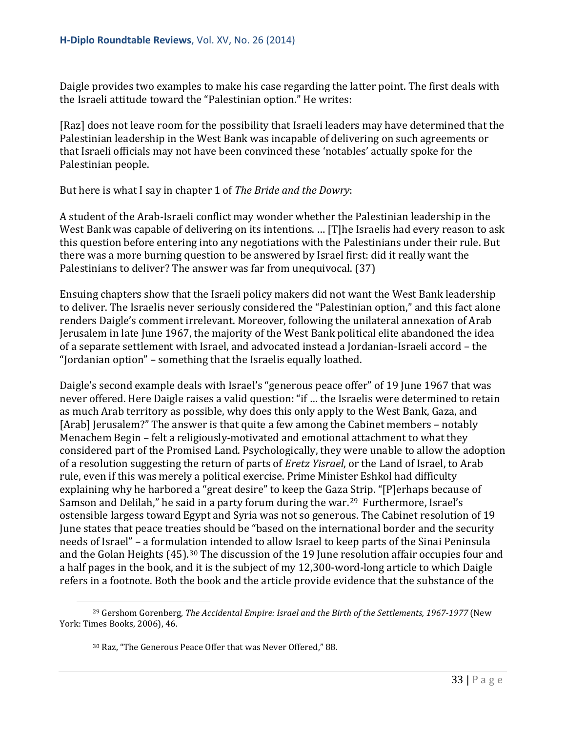Daigle provides two examples to make his case regarding the latter point. The first deals with the Israeli attitude toward the "Palestinian option." He writes:

[Raz] does not leave room for the possibility that Israeli leaders may have determined that the Palestinian leadership in the West Bank was incapable of delivering on such agreements or that Israeli officials may not have been convinced these 'notables' actually spoke for the Palestinian people.

But here is what I say in chapter 1 of *The Bride and the Dowry*:

A student of the Arab-Israeli conflict may wonder whether the Palestinian leadership in the West Bank was capable of delivering on its intentions. … [T]he Israelis had every reason to ask this question before entering into any negotiations with the Palestinians under their rule. But there was a more burning question to be answered by Israel first: did it really want the Palestinians to deliver? The answer was far from unequivocal. (37)

Ensuing chapters show that the Israeli policy makers did not want the West Bank leadership to deliver. The Israelis never seriously considered the "Palestinian option," and this fact alone renders Daigle's comment irrelevant. Moreover, following the unilateral annexation of Arab Jerusalem in late June 1967, the majority of the West Bank political elite abandoned the idea of a separate settlement with Israel, and advocated instead a Jordanian-Israeli accord – the "Jordanian option" – something that the Israelis equally loathed.

Daigle's second example deals with Israel's "generous peace offer" of 19 June 1967 that was never offered. Here Daigle raises a valid question: "if … the Israelis were determined to retain as much Arab territory as possible, why does this only apply to the West Bank, Gaza, and [Arab] Jerusalem?" The answer is that quite a few among the Cabinet members – notably Menachem Begin – felt a religiously-motivated and emotional attachment to what they considered part of the Promised Land. Psychologically, they were unable to allow the adoption of a resolution suggesting the return of parts of *Eretz Yisrael*, or the Land of Israel, to Arab rule, even if this was merely a political exercise. Prime Minister Eshkol had difficulty explaining why he harbored a "great desire" to keep the Gaza Strip. "[P]erhaps because of Samson and Delilah," he said in a party forum during the war.<sup>[29](#page-32-0)</sup> Furthermore, Israel's ostensible largess toward Egypt and Syria was not so generous. The Cabinet resolution of 19 June states that peace treaties should be "based on the international border and the security needs of Israel" – a formulation intended to allow Israel to keep parts of the Sinai Peninsula and the Golan Heights (45).<sup>[30](#page-32-1)</sup> The discussion of the 19 June resolution affair occupies four and a half pages in the book, and it is the subject of my 12,300-word-long article to which Daigle refers in a footnote. Both the book and the article provide evidence that the substance of the

<span id="page-32-1"></span><span id="page-32-0"></span><sup>29</sup> Gershom Gorenberg, *The Accidental Empire: Israel and the Birth of the Settlements, 1967-1977* (New York: Times Books, 2006), 46. i<br>I

<sup>30</sup> Raz, "The Generous Peace Offer that was Never Offered," 88.